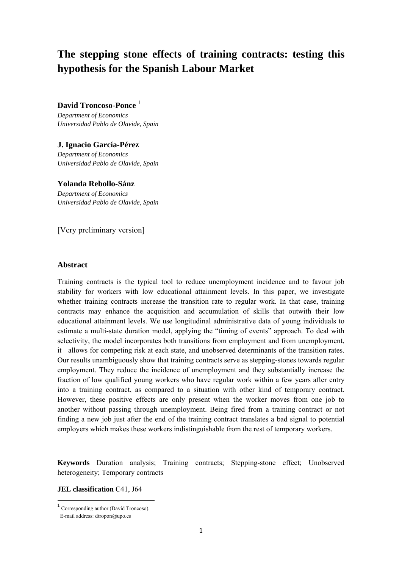# **The stepping stone effects of training contracts: testing this hypothesis for the Spanish Labour Market**

# **David Troncoso-Ponce**<sup>1</sup>

*Department of Economics Universidad Pablo de Olavide, Spain*

# **J. Ignacio García-Pérez**

*Department of Economics Universidad Pablo de Olavide, Spain* 

### **Yolanda Rebollo-Sánz**

*Department of Economics Universidad Pablo de Olavide, Spain*

[Very preliminary version]

## **Abstract**

Training contracts is the typical tool to reduce unemployment incidence and to favour job stability for workers with low educational attainment levels. In this paper, we investigate whether training contracts increase the transition rate to regular work. In that case, training contracts may enhance the acquisition and accumulation of skills that outwith their low educational attainment levels. We use longitudinal administrative data of young individuals to estimate a multi-state duration model, applying the "timing of events" approach. To deal with selectivity, the model incorporates both transitions from employment and from unemployment, it allows for competing risk at each state, and unobserved determinants of the transition rates. Our results unambiguously show that training contracts serve as stepping-stones towards regular employment. They reduce the incidence of unemployment and they substantially increase the fraction of low qualified young workers who have regular work within a few years after entry into a training contract, as compared to a situation with other kind of temporary contract. However, these positive effects are only present when the worker moves from one job to another without passing through unemployment. Being fired from a training contract or not finding a new job just after the end of the training contract translates a bad signal to potential employers which makes these workers indistinguishable from the rest of temporary workers.

**Keywords** Duration analysis; Training contracts; Stepping-stone effect; Unobserved heterogeneity; Temporary contracts

### **JEL classification** C41, J64

 <sup>1</sup> Corresponding author (David Troncoso).

E-mail address: dtropon@upo.es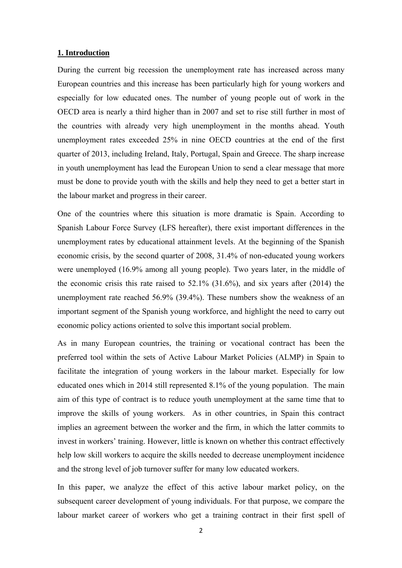# **1. Introduction**

During the current big recession the unemployment rate has increased across many European countries and this increase has been particularly high for young workers and especially for low educated ones. The number of young people out of work in the OECD area is nearly a third higher than in 2007 and set to rise still further in most of the countries with already very high unemployment in the months ahead. Youth unemployment rates exceeded 25% in nine OECD countries at the end of the first quarter of 2013, including Ireland, Italy, Portugal, Spain and Greece. The sharp increase in youth unemployment has lead the European Union to send a clear message that more must be done to provide youth with the skills and help they need to get a better start in the labour market and progress in their career.

One of the countries where this situation is more dramatic is Spain. According to Spanish Labour Force Survey (LFS hereafter), there exist important differences in the unemployment rates by educational attainment levels. At the beginning of the Spanish economic crisis, by the second quarter of 2008, 31.4% of non-educated young workers were unemployed (16.9% among all young people). Two years later, in the middle of the economic crisis this rate raised to 52.1% (31.6%), and six years after (2014) the unemployment rate reached 56.9% (39.4%). These numbers show the weakness of an important segment of the Spanish young workforce, and highlight the need to carry out economic policy actions oriented to solve this important social problem.

As in many European countries, the training or vocational contract has been the preferred tool within the sets of Active Labour Market Policies (ALMP) in Spain to facilitate the integration of young workers in the labour market. Especially for low educated ones which in 2014 still represented 8.1% of the young population. The main aim of this type of contract is to reduce youth unemployment at the same time that to improve the skills of young workers. As in other countries, in Spain this contract implies an agreement between the worker and the firm, in which the latter commits to invest in workers' training. However, little is known on whether this contract effectively help low skill workers to acquire the skills needed to decrease unemployment incidence and the strong level of job turnover suffer for many low educated workers.

In this paper, we analyze the effect of this active labour market policy, on the subsequent career development of young individuals. For that purpose, we compare the labour market career of workers who get a training contract in their first spell of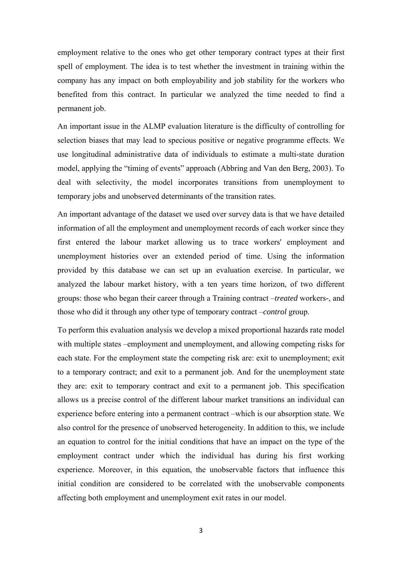employment relative to the ones who get other temporary contract types at their first spell of employment. The idea is to test whether the investment in training within the company has any impact on both employability and job stability for the workers who benefited from this contract. In particular we analyzed the time needed to find a permanent job.

An important issue in the ALMP evaluation literature is the difficulty of controlling for selection biases that may lead to specious positive or negative programme effects. We use longitudinal administrative data of individuals to estimate a multi-state duration model, applying the "timing of events" approach (Abbring and Van den Berg, 2003). To deal with selectivity, the model incorporates transitions from unemployment to temporary jobs and unobserved determinants of the transition rates.

An important advantage of the dataset we used over survey data is that we have detailed information of all the employment and unemployment records of each worker since they first entered the labour market allowing us to trace workers' employment and unemployment histories over an extended period of time. Using the information provided by this database we can set up an evaluation exercise. In particular, we analyzed the labour market history, with a ten years time horizon, of two different groups: those who began their career through a Training contract –*treated* workers-, and those who did it through any other type of temporary contract –*control* group.

To perform this evaluation analysis we develop a mixed proportional hazards rate model with multiple states –employment and unemployment, and allowing competing risks for each state. For the employment state the competing risk are: exit to unemployment; exit to a temporary contract; and exit to a permanent job. And for the unemployment state they are: exit to temporary contract and exit to a permanent job. This specification allows us a precise control of the different labour market transitions an individual can experience before entering into a permanent contract –which is our absorption state. We also control for the presence of unobserved heterogeneity. In addition to this, we include an equation to control for the initial conditions that have an impact on the type of the employment contract under which the individual has during his first working experience. Moreover, in this equation, the unobservable factors that influence this initial condition are considered to be correlated with the unobservable components affecting both employment and unemployment exit rates in our model.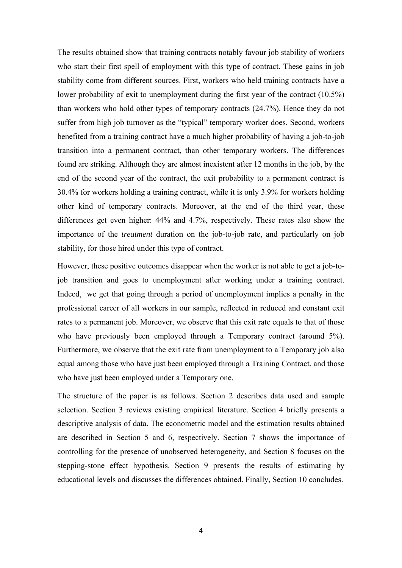The results obtained show that training contracts notably favour job stability of workers who start their first spell of employment with this type of contract. These gains in job stability come from different sources. First, workers who held training contracts have a lower probability of exit to unemployment during the first year of the contract (10.5%) than workers who hold other types of temporary contracts (24.7%). Hence they do not suffer from high job turnover as the "typical" temporary worker does. Second, workers benefited from a training contract have a much higher probability of having a job-to-job transition into a permanent contract, than other temporary workers. The differences found are striking. Although they are almost inexistent after 12 months in the job, by the end of the second year of the contract, the exit probability to a permanent contract is 30.4% for workers holding a training contract, while it is only 3.9% for workers holding other kind of temporary contracts. Moreover, at the end of the third year, these differences get even higher: 44% and 4.7%, respectively. These rates also show the importance of the *treatment* duration on the job-to-job rate, and particularly on job stability, for those hired under this type of contract.

However, these positive outcomes disappear when the worker is not able to get a job-tojob transition and goes to unemployment after working under a training contract. Indeed, we get that going through a period of unemployment implies a penalty in the professional career of all workers in our sample, reflected in reduced and constant exit rates to a permanent job. Moreover, we observe that this exit rate equals to that of those who have previously been employed through a Temporary contract (around 5%). Furthermore, we observe that the exit rate from unemployment to a Temporary job also equal among those who have just been employed through a Training Contract, and those who have just been employed under a Temporary one.

The structure of the paper is as follows. Section 2 describes data used and sample selection. Section 3 reviews existing empirical literature. Section 4 briefly presents a descriptive analysis of data. The econometric model and the estimation results obtained are described in Section 5 and 6, respectively. Section 7 shows the importance of controlling for the presence of unobserved heterogeneity, and Section 8 focuses on the stepping-stone effect hypothesis. Section 9 presents the results of estimating by educational levels and discusses the differences obtained. Finally, Section 10 concludes.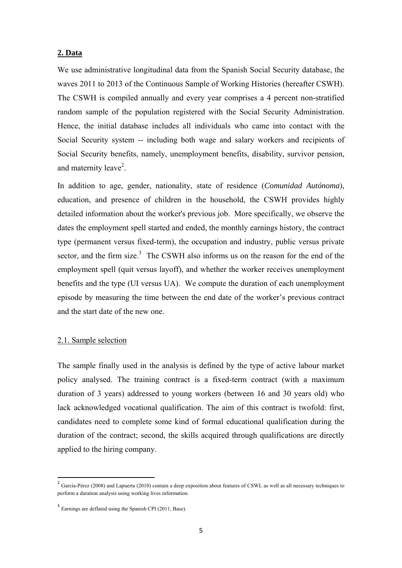## **2. Data**

We use administrative longitudinal data from the Spanish Social Security database, the waves 2011 to 2013 of the Continuous Sample of Working Histories (hereafter CSWH). The CSWH is compiled annually and every year comprises a 4 percent non-stratified random sample of the population registered with the Social Security Administration. Hence, the initial database includes all individuals who came into contact with the Social Security system -- including both wage and salary workers and recipients of Social Security benefits, namely, unemployment benefits, disability, survivor pension, and maternity leave<sup>2</sup>.

In addition to age, gender, nationality, state of residence (*Comunidad Autónoma*), education, and presence of children in the household, the CSWH provides highly detailed information about the worker's previous job. More specifically, we observe the dates the employment spell started and ended, the monthly earnings history, the contract type (permanent versus fixed-term), the occupation and industry, public versus private sector, and the firm size.<sup>3</sup> The CSWH also informs us on the reason for the end of the employment spell (quit versus layoff), and whether the worker receives unemployment benefits and the type (UI versus UA). We compute the duration of each unemployment episode by measuring the time between the end date of the worker's previous contract and the start date of the new one.

# 2.1. Sample selection

The sample finally used in the analysis is defined by the type of active labour market policy analysed. The training contract is a fixed-term contract (with a maximum duration of 3 years) addressed to young workers (between 16 and 30 years old) who lack acknowledged vocational qualification. The aim of this contract is twofold: first, candidates need to complete some kind of formal educational qualification during the duration of the contract; second, the skills acquired through qualifications are directly applied to the hiring company.

<sup>&</sup>lt;sup>2</sup> García-Pérez (2008) and Lapuerta (2010) contain a deep exposition about features of CSWL as well as all necessary techniques to perform a duration analysis using working lives information.

<sup>3</sup> Earnings are deflated using the Spanish CPI (2011, Base).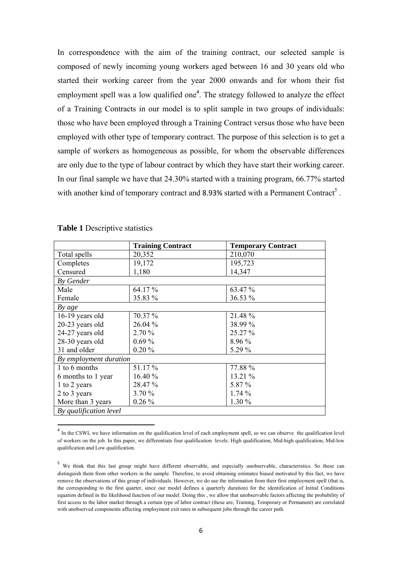In correspondence with the aim of the training contract, our selected sample is composed of newly incoming young workers aged between 16 and 30 years old who started their working career from the year 2000 onwards and for whom their fist employment spell was a low qualified one<sup>4</sup>. The strategy followed to analyze the effect of a Training Contracts in our model is to split sample in two groups of individuals: those who have been employed through a Training Contract versus those who have been employed with other type of temporary contract. The purpose of this selection is to get a sample of workers as homogeneous as possible, for whom the observable differences are only due to the type of labour contract by which they have start their working career. In our final sample we have that 24.30% started with a training program, 66.77% started with another kind of temporary contract and 8.93% started with a Permanent Contract<sup>5</sup>.

|                        | <b>Training Contract</b> | <b>Temporary Contract</b> |
|------------------------|--------------------------|---------------------------|
| Total spells           | 20,352                   | 210,070                   |
| Completes              | 19,172                   | 195,723                   |
| Censured               | 1,180                    | 14,347                    |
| By Gender              |                          |                           |
| Male                   | 64.17%                   | 63.47 %                   |
| Female                 | 35.83 %                  | 36.53 %                   |
| By age                 |                          |                           |
| 16-19 years old        | 70.37 %                  | 21.48 %                   |
| 20-23 years old        | 26.04 %                  | 38.99 %                   |
| 24-27 years old        | 2.70%                    | 25.27 %                   |
| 28-30 years old        | $0.69\%$                 | 8.96 %                    |
| 31 and older           | $0.20 \%$                | 5.29 %                    |
| By employment duration |                          |                           |
| 1 to 6 months          | 51.17 %                  | 77.88 %                   |
| 6 months to 1 year     | 16.40 %                  | 13.21 %                   |
| 1 to 2 years           | 28.47 %                  | 5.87 %                    |
| 2 to 3 years           | 3.70%                    | 1.74%                     |
| More than 3 years      | $0.26\%$                 | 1.30 %                    |
| By qualification level |                          |                           |

| <b>Table 1 Descriptive statistics</b> |  |  |  |  |
|---------------------------------------|--|--|--|--|
|---------------------------------------|--|--|--|--|

<sup>4</sup> In the CSWL we have information on the qualification level of each employment spell, so we can observe the qualification level of workers on the job. In this paper, we differentiate four qualification levels: High qualification, Mid-high qualification, Mid-low qualification and Low qualification.

<sup>&</sup>lt;sup>5</sup> We think that this last group might have different observable, and especially unobservable, characteristics. So these can distinguish them from other workers in the sample. Therefore, to avoid obtaining estimates biased motivated by this fact, we have remove the observations of this group of individuals. However, we do use the information from their first employment spell (that is, the corresponding to the first quarter, since our model defines a quarterly duration) for the identification of Initial Conditions equation defined in the likelihood function of our model. Doing this , we allow that unobservable factors affecting the probability of first access to the labor market through a certain type of labor contract (these are, Training, Temporary or Permanent) are correlated with unobserved components affecting employment exit rates in subsequent jobs through the career path.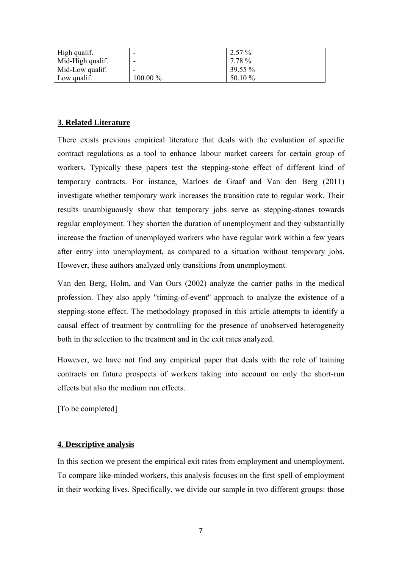| High qualif.     |            | $2.57\%$ |
|------------------|------------|----------|
| Mid-High qualif. | -          | 7.78 %   |
| Mid-Low qualif.  | -          | 39.55 %  |
| Low qualif.      | $100.00\%$ | 50.10 %  |

# **3. Related Literature**

There exists previous empirical literature that deals with the evaluation of specific contract regulations as a tool to enhance labour market careers for certain group of workers. Typically these papers test the stepping-stone effect of different kind of temporary contracts. For instance, Marloes de Graaf and Van den Berg (2011) investigate whether temporary work increases the transition rate to regular work. Their results unambiguously show that temporary jobs serve as stepping-stones towards regular employment. They shorten the duration of unemployment and they substantially increase the fraction of unemployed workers who have regular work within a few years after entry into unemployment, as compared to a situation without temporary jobs. However, these authors analyzed only transitions from unemployment.

Van den Berg, Holm, and Van Ours (2002) analyze the carrier paths in the medical profession. They also apply "timing-of-event" approach to analyze the existence of a stepping-stone effect. The methodology proposed in this article attempts to identify a causal effect of treatment by controlling for the presence of unobserved heterogeneity both in the selection to the treatment and in the exit rates analyzed.

However, we have not find any empirical paper that deals with the role of training contracts on future prospects of workers taking into account on only the short-run effects but also the medium run effects.

[To be completed]

# **4. Descriptive analysis**

In this section we present the empirical exit rates from employment and unemployment. To compare like-minded workers, this analysis focuses on the first spell of employment in their working lives. Specifically, we divide our sample in two different groups: those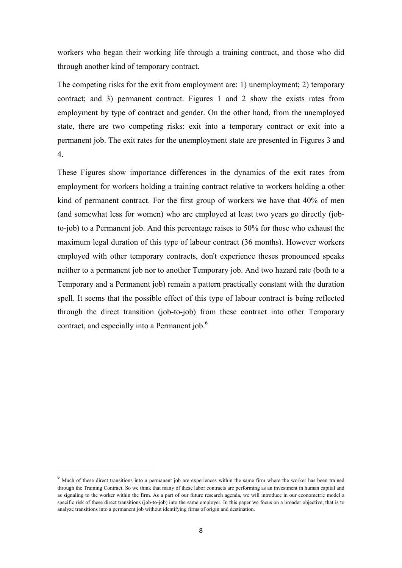workers who began their working life through a training contract, and those who did through another kind of temporary contract.

The competing risks for the exit from employment are: 1) unemployment; 2) temporary contract; and 3) permanent contract. Figures 1 and 2 show the exists rates from employment by type of contract and gender. On the other hand, from the unemployed state, there are two competing risks: exit into a temporary contract or exit into a permanent job. The exit rates for the unemployment state are presented in Figures 3 and 4.

These Figures show importance differences in the dynamics of the exit rates from employment for workers holding a training contract relative to workers holding a other kind of permanent contract. For the first group of workers we have that 40% of men (and somewhat less for women) who are employed at least two years go directly (jobto-job) to a Permanent job. And this percentage raises to 50% for those who exhaust the maximum legal duration of this type of labour contract (36 months). However workers employed with other temporary contracts, don't experience theses pronounced speaks neither to a permanent job nor to another Temporary job. And two hazard rate (both to a Temporary and a Permanent job) remain a pattern practically constant with the duration spell. It seems that the possible effect of this type of labour contract is being reflected through the direct transition (job-to-job) from these contract into other Temporary contract, and especially into a Permanent job.<sup>6</sup>

 $6$  Much of these direct transitions into a permanent job are experiences within the same firm where the worker has been trained through the Training Contract. So we think that many of these labor contracts are performing as an investment in human capital and as signaling to the worker within the firm. As a part of our future research agenda, we will introduce in our econometric model a specific risk of these direct transitions (job-to-job) into the same employer. In this paper we focus on a broader objective, that is to analyze transitions into a permanent job without identifying firms of origin and destination.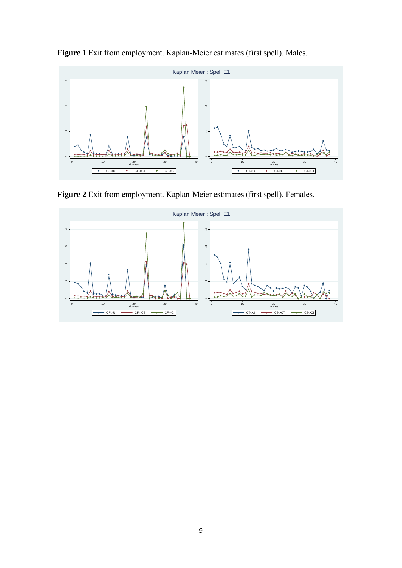

**Figure 1** Exit from employment. Kaplan-Meier estimates (first spell). Males.

**Figure 2** Exit from employment. Kaplan-Meier estimates (first spell). Females.

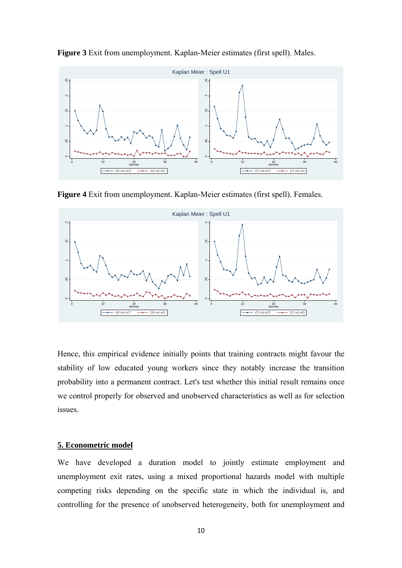

**Figure 3** Exit from unemployment. Kaplan-Meier estimates (first spell). Males.

**Figure 4** Exit from unemployment. Kaplan-Meier estimates (first spell). Females.



Hence, this empirical evidence initially points that training contracts might favour the stability of low educated young workers since they notably increase the transition probability into a permanent contract. Let's test whether this initial result remains once we control properly for observed and unobserved characteristics as well as for selection issues.

## **5. Econometric model**

We have developed a duration model to jointly estimate employment and unemployment exit rates, using a mixed proportional hazards model with multiple competing risks depending on the specific state in which the individual is, and controlling for the presence of unobserved heterogeneity, both for unemployment and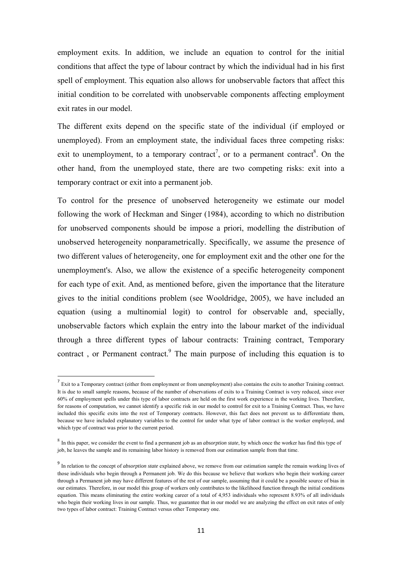employment exits. In addition, we include an equation to control for the initial conditions that affect the type of labour contract by which the individual had in his first spell of employment. This equation also allows for unobservable factors that affect this initial condition to be correlated with unobservable components affecting employment exit rates in our model.

The different exits depend on the specific state of the individual (if employed or unemployed). From an employment state, the individual faces three competing risks: exit to unemployment, to a temporary contract<sup>7</sup>, or to a permanent contract<sup>8</sup>. On the other hand, from the unemployed state, there are two competing risks: exit into a temporary contract or exit into a permanent job.

To control for the presence of unobserved heterogeneity we estimate our model following the work of Heckman and Singer (1984), according to which no distribution for unobserved components should be impose a priori, modelling the distribution of unobserved heterogeneity nonparametrically. Specifically, we assume the presence of two different values of heterogeneity, one for employment exit and the other one for the unemployment's. Also, we allow the existence of a specific heterogeneity component for each type of exit. And, as mentioned before, given the importance that the literature gives to the initial conditions problem (see Wooldridge, 2005), we have included an equation (using a multinomial logit) to control for observable and, specially, unobservable factors which explain the entry into the labour market of the individual through a three different types of labour contracts: Training contract, Temporary contract, or Permanent contract. $9$  The main purpose of including this equation is to

<sup>&</sup>lt;sup>7</sup> Exit to a Temporary contract (either from employment or from unemployment) also contains the exits to another Training contract. It is due to small sample reasons, because of the number of observations of exits to a Training Contract is very reduced, since over 60% of employment spells under this type of labor contracts are held on the first work experience in the working lives. Therefore, for reasons of computation, we cannot identify a specific risk in our model to control for exit to a Training Contract. Thus, we have included this specific exits into the rest of Temporary contracts. However, this fact does not prevent us to differentiate them, because we have included explanatory variables to the control for under what type of labor contract is the worker employed, and which type of contract was prior to the current period.

<sup>8</sup> In this paper, we consider the event to find a permanent job as an *absorption state*, by which once the worker has find this type of job, he leaves the sample and its remaining labor history is removed from our estimation sample from that time.

<sup>&</sup>lt;sup>9</sup> In relation to the concept of *absorption state* explained above, we remove from our estimation sample the remain working lives of those individuals who begin through a Permanent job. We do this because we believe that workers who begin their working career through a Permanent job may have different features of the rest of our sample, assuming that it could be a possible source of bias in our estimates. Therefore, in our model this group of workers only contributes to the likelihood function through the initial conditions equation. This means eliminating the entire working career of a total of 4,953 individuals who represent 8.93% of all individuals who begin their working lives in our sample. Thus, we guarantee that in our model we are analyzing the effect on exit rates of only two types of labor contract: Training Contract versus other Temporary one.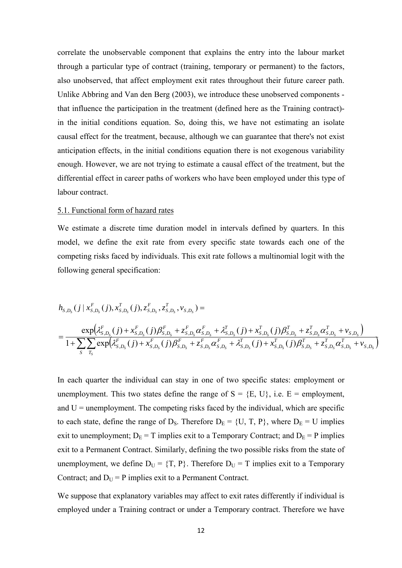correlate the unobservable component that explains the entry into the labour market through a particular type of contract (training, temporary or permanent) to the factors, also unobserved, that affect employment exit rates throughout their future career path. Unlike Abbring and Van den Berg (2003), we introduce these unobserved components that influence the participation in the treatment (defined here as the Training contract) in the initial conditions equation. So, doing this, we have not estimating an isolate causal effect for the treatment, because, although we can guarantee that there's not exist anticipation effects, in the initial conditions equation there is not exogenous variability enough. However, we are not trying to estimate a causal effect of the treatment, but the differential effect in career paths of workers who have been employed under this type of labour contract.

### 5.1. Functional form of hazard rates

We estimate a discrete time duration model in intervals defined by quarters. In this model, we define the exit rate from every specific state towards each one of the competing risks faced by individuals. This exit rate follows a multinomial logit with the following general specification:

$$
h_{S,D_S}(j \mid x_{S,D_S}^F(j), x_{S,D_S}^T(j), z_{S,D_S}^F, z_{S,D_S}^T, v_{S,D_S}) =
$$
\n
$$
= \frac{\exp(\lambda_{S,D_S}^F(j) + x_{S,D_S}^F(j)\beta_{S,D_S}^F + z_{S,D_S}^F\alpha_{S,D_S}^F + \lambda_{S,D_S}^T(j) + x_{S,D_S}^T(j)\beta_{S,D_S}^T + z_{S,D_S}^T\alpha_{S,D_S}^T + v_{S,D_S})}{1 + \sum_{S} \sum_{T_S} \exp(\lambda_{S,D_S}^F(j) + x_{S,D_S}^F(j)\beta_{S,D_S}^F + z_{S,D_S}^F\alpha_{S,D_S}^F + \lambda_{S,D_S}^T(j) + x_{S,D_S}^T(j)\beta_{S,D_S}^T + z_{S,D_S}^T\alpha_{S,D_S}^T + v_{S,D_S})}
$$

In each quarter the individual can stay in one of two specific states: employment or unemployment. This two states define the range of  $S = \{E, U\}$ , i.e.  $E =$  employment, and  $U =$  unemployment. The competing risks faced by the individual, which are specific to each state, define the range of  $D_S$ . Therefore  $D_E = \{U, T, P\}$ , where  $D_E = U$  implies exit to unemployment;  $D_E = T$  implies exit to a Temporary Contract; and  $D_E = P$  implies exit to a Permanent Contract. Similarly, defining the two possible risks from the state of unemployment, we define  $D_U = \{T, P\}$ . Therefore  $D_U = T$  implies exit to a Temporary Contract; and  $D_U = P$  implies exit to a Permanent Contract.

We suppose that explanatory variables may affect to exit rates differently if individual is employed under a Training contract or under a Temporary contract. Therefore we have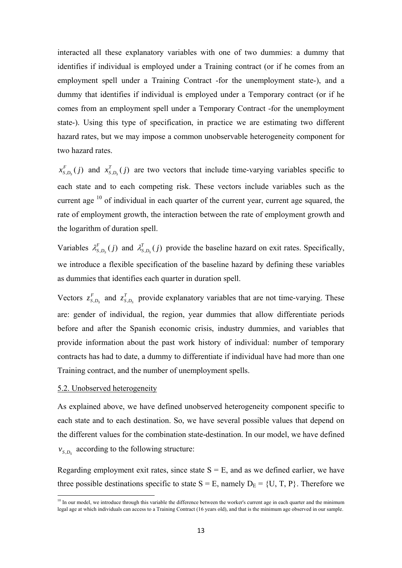interacted all these explanatory variables with one of two dummies: a dummy that identifies if individual is employed under a Training contract (or if he comes from an employment spell under a Training Contract -for the unemployment state-), and a dummy that identifies if individual is employed under a Temporary contract (or if he comes from an employment spell under a Temporary Contract -for the unemployment state-). Using this type of specification, in practice we are estimating two different hazard rates, but we may impose a common unobservable heterogeneity component for two hazard rates

 $x_{s,D_s}^F(j)$  and  $x_{s,D_s}^T(j)$  are two vectors that include time-varying variables specific to each state and to each competing risk. These vectors include variables such as the current age  $10$  of individual in each quarter of the current year, current age squared, the rate of employment growth, the interaction between the rate of employment growth and the logarithm of duration spell.

Variables  $\lambda_{s, D_s}^F(j)$  and  $\lambda_{s, D_s}^T(j)$  provide the baseline hazard on exit rates. Specifically, we introduce a flexible specification of the baseline hazard by defining these variables as dummies that identifies each quarter in duration spell.

Vectors  $z_{s, D_s}^F$  and  $z_{s, D_s}^T$  provide explanatory variables that are not time-varying. These are: gender of individual, the region, year dummies that allow differentiate periods before and after the Spanish economic crisis, industry dummies, and variables that provide information about the past work history of individual: number of temporary contracts has had to date, a dummy to differentiate if individual have had more than one Training contract, and the number of unemployment spells.

#### 5.2. Unobserved heterogeneity

As explained above, we have defined unobserved heterogeneity component specific to each state and to each destination. So, we have several possible values that depend on the different values for the combination state-destination. In our model, we have defined  $v_{S,D_s}$  according to the following structure:

Regarding employment exit rates, since state  $S = E$ , and as we defined earlier, we have three possible destinations specific to state  $S = E$ , namely  $D_E = \{U, T, P\}$ . Therefore we

 $10$  In our model, we introduce through this variable the difference between the worker's current age in each quarter and the minimum legal age at which individuals can access to a Training Contract (16 years old), and that is the minimum age observed in our sample.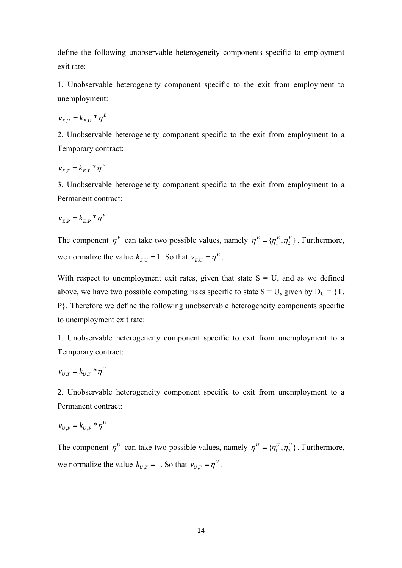define the following unobservable heterogeneity components specific to employment exit rate:

1. Unobservable heterogeneity component specific to the exit from employment to unemployment:

$$
v_{E,U} = k_{E,U} * \eta^E
$$

2. Unobservable heterogeneity component specific to the exit from employment to a Temporary contract:

$$
v_{E,T} = k_{E,T} * \eta^E
$$

3. Unobservable heterogeneity component specific to the exit from employment to a Permanent contract:

$$
v_{E,P} = k_{E,P} * \eta^E
$$

The component  $\eta^E$  can take two possible values, namely  $\eta^E = {\{\eta^E_1, \eta^E_2\}}$ . Furthermore, we normalize the value  $k_{E,U} = 1$ . So that  $v_{E,U} = \eta^E$ .

With respect to unemployment exit rates, given that state  $S = U$ , and as we defined above, we have two possible competing risks specific to state  $S = U$ , given by  $D_U = \{T,$ P}. Therefore we define the following unobservable heterogeneity components specific to unemployment exit rate:

1. Unobservable heterogeneity component specific to exit from unemployment to a Temporary contract:

$$
v_{U,T} = k_{U,T} * \eta^U
$$

2. Unobservable heterogeneity component specific to exit from unemployment to a Permanent contract:

$$
v_{U,P} = k_{U,P} * \eta^U
$$

The component  $\eta^U$  can take two possible values, namely  $\eta^U = {\eta_1^U, \eta_2^U}$ . Furthermore, we normalize the value  $k_{U,T} = 1$ . So that  $v_{U,T} = \eta^U$ .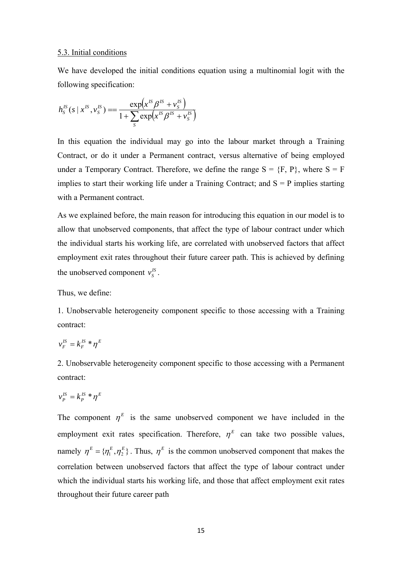### 5.3. Initial conditions

We have developed the initial conditions equation using a multinomial logit with the following specification:

$$
h_S^{IS}(s \mid x^{IS}, v_S^{IS}) = \frac{\exp(x^{IS}\beta^{IS} + v_S^{IS})}{1 + \sum_{S} \exp(x^{IS}\beta^{IS} + v_S^{IS})}
$$

In this equation the individual may go into the labour market through a Training Contract, or do it under a Permanent contract, versus alternative of being employed under a Temporary Contract. Therefore, we define the range  $S = \{F, P\}$ , where  $S = F$ implies to start their working life under a Training Contract; and  $S = P$  implies starting with a Permanent contract.

As we explained before, the main reason for introducing this equation in our model is to allow that unobserved components, that affect the type of labour contract under which the individual starts his working life, are correlated with unobserved factors that affect employment exit rates throughout their future career path. This is achieved by defining the unobserved component  $v_s^{\prime s}$ .

Thus, we define:

1. Unobservable heterogeneity component specific to those accessing with a Training contract:

$$
v_F^{IS} = k_F^{IS} * \eta^E
$$

2. Unobservable heterogeneity component specific to those accessing with a Permanent contract:

$$
v_P^{IS} = k_P^{IS} * \eta^E
$$

The component  $\eta^E$  is the same unobserved component we have included in the employment exit rates specification. Therefore,  $\eta^E$  can take two possible values, namely  $\eta^E = {\{\eta^E_1, \eta^E_2\}}$ . Thus,  $\eta^E$  is the common unobserved component that makes the correlation between unobserved factors that affect the type of labour contract under which the individual starts his working life, and those that affect employment exit rates throughout their future career path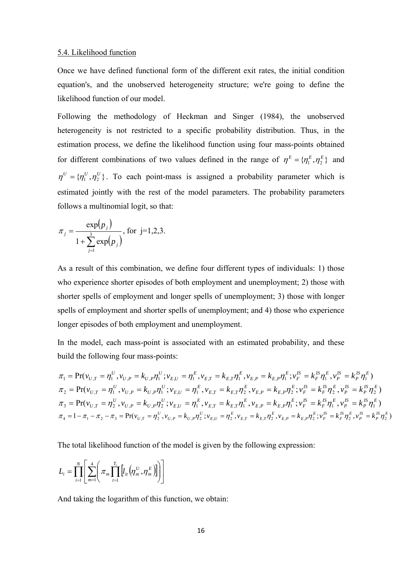### 5.4. Likelihood function

Once we have defined functional form of the different exit rates, the initial condition equation's, and the unobserved heterogeneity structure; we're going to define the likelihood function of our model.

Following the methodology of Heckman and Singer (1984), the unobserved heterogeneity is not restricted to a specific probability distribution. Thus, in the estimation process, we define the likelihood function using four mass-points obtained for different combinations of two values defined in the range of  $\eta^E = {\eta^E_1, \eta^E_2}$  and  ${\bf \eta}^U = {\bf \eta}_1^U, {\bf \eta}_2^U$ . To each point-mass is assigned a probability parameter which is estimated jointly with the rest of the model parameters. The probability parameters follows a multinomial logit, so that:

$$
\pi_j = \frac{\exp(p_j)}{1 + \sum_{j=1}^3 \exp(p_j)}, \text{ for } j=1,2,3.
$$

As a result of this combination, we define four different types of individuals: 1) those who experience shorter episodes of both employment and unemployment; 2) those with shorter spells of employment and longer spells of unemployment; 3) those with longer spells of employment and shorter spells of unemployment; and 4) those who experience longer episodes of both employment and unemployment.

In the model, each mass-point is associated with an estimated probability, and these build the following four mass-points:

 $\mathcal{P}_1 = \Pr(\mathcal{V}_{U,T} = \eta_1^U, \mathcal{V}_{U,P} = k_{U,P}\eta_1^U; \mathcal{V}_{E,U} = \eta_1^E, \mathcal{V}_{E,T} = k_{E,T}\eta_1^E, \mathcal{V}_{E,P} = k_{E,P}\eta_1^E; \mathcal{V}_{F}^E = k_{F}^{IS}\eta_1^E, \mathcal{V}_{P}^E = k_{P}^{IS}\eta_1^E)$ *P IS P*  $IS_{\boldsymbol{m}}E$ *F IS F E*  $E, P = \mathcal{N}$  $E, P$ *E*  $E,T = E E T$ *E E U U*  $U, P = N U, P$  $\pi_1 = \Pr(v_{U,T} = \eta_1^U, v_{U,P} = k_{U,P} \eta_1^U; v_{E,U} = \eta_1^E, v_{E,T} = k_{E,T} \eta_1^E, v_{E,P} = k_{E,P} \eta_1^E; v_F^E = k_F^{IS} \eta_1^E, v_P^{IS} = k_P^{IS} \eta_1^E$  $P_2 = \Pr(v_{U,T} = \eta_1^U, v_{U,P} = k_{U,P} \eta_1^U; v_{E,U} = \eta_1^E, v_{E,T} = k_{E,T} \eta_2^E, v_{E,P} = k_{E,P} \eta_2^E; v_F^B = k_F^B \eta_2^E, v_P^B = k_P^B \eta_2^E)$ *P IS P*  $^{IS}$   $E$ *F IS F E*  $E, P = \mathcal{N}$  $E, P$ *E*  $E,T = E E T$ *E E U U*  $U, P = N U, P$  $\pi_2 = \Pr(v_{U,T} = \eta_1^U, v_{U,P} = k_{U,P} \eta_1^U; v_{E,U} = \eta_1^E, v_{E,T} = k_{E,T} \eta_2^E, v_{E,P} = k_{E,P} \eta_2^E; v_F^B = k_F^B \eta_2^B, v_P^B = k_P^B \eta_2^B$  $P_3 = \Pr (v_{U,T} = \eta_2^U, v_{U,P} = k_{U,P} \eta_2^U; v_{E,U} = \eta_1^E, v_{E,T} = k_{E,T} \eta_1^E, v_{E,P} = k_{E,P} \eta_1^E; v_{F}^{\prime S} = k_{F}^{\prime S} \eta_1^E, v_{P}^{\prime S} = k_{P}^{\prime S} \eta_1^E)$ *P IS P*  $^{IS}$   $E$ *F IS F E*  $E, P = \mathcal{N}$  $E, P$ *E*  $E,T = E E T$ *E E U U*  $U, P = N U, P$  $\pi_3 = \Pr(v_{U,T} = \eta_2^U, v_{U,P} = k_{U,P} \eta_2^U; v_{E,U} = \eta_1^E, v_{E,T} = k_{E,T} \eta_1^E, v_{E,P} = k_{E,P} \eta_1^E; v_F^{\prime S} = k_F^{\prime S} \eta_1^E, v_P^{\prime S} = k_P^{\prime S} \eta_1^E$  $\pi_4 = 1 - \pi_1 - \pi_2 - \pi_3 = \Pr(v_{U,T} = \eta_2^U, v_{U,P} = k_{U,P} \eta_2^U; v_{E,U} = \eta_2^E, v_{E,T} = k_{E,T} \eta_2^E, v_{E,P} = k_{E,P} \eta_2^E; v_F^E = k_F^E \eta_2^E, v_P^E = k_P^E \eta_2^E)$ 

The total likelihood function of the model is given by the following expression:

$$
L_i = \prod_{i=1}^N \left[ \sum_{m=1}^4 \left( \pi_m \prod_{t=1}^{T_i} \left[ l_{it} \left( \eta_m^U, \eta_m^E \right) \right] \right) \right]
$$

And taking the logarithm of this function, we obtain: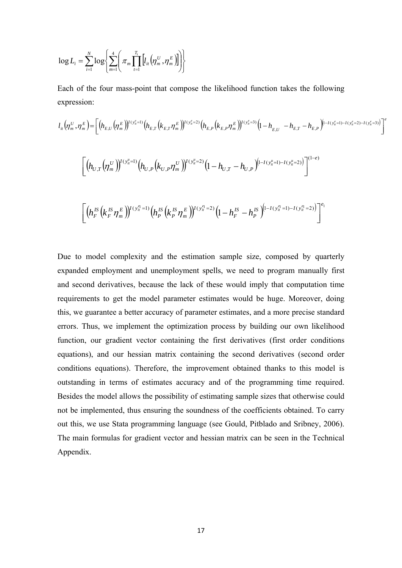$$
\log L_{i} = \sum_{i=1}^{N} \log \left\{ \sum_{m=1}^{4} \left( \pi_{m} \prod_{t=1}^{T_{i}} \left[ l_{it} \left( \eta_{m}^{U}, \eta_{m}^{E} \right) \right] \right) \right\}
$$

Each of the four mass-point that compose the likelihood function takes the following expression:

$$
l_{i} \left( \eta_{m}^{U}, \eta_{m}^{E} \right) = \left[ \left( h_{E,U} \left( \eta_{m}^{E} \right) \right)^{l \left( y_{u}^{\epsilon} = 1 \right)} \left( h_{E,U} \left( k_{E,U} \eta_{m}^{E} \right) \right)^{l \left( y_{u}^{\epsilon} = 2 \right)} \left( h_{E,P} \left( k_{E,P} \eta_{m}^{E} \right) \right)^{l \left( y_{u}^{\epsilon} = 3 \right)} \left( 1 - h_{E,U} - h_{E,U} - h_{E,P} \right)^{\left( 1 - l \left( y_{u}^{\epsilon} = 1 \right) - l \left( y_{u}^{\epsilon} = 2 \right) - l \left( y_{u}^{\epsilon} = 3 \right) \right)} \right]^{\epsilon}
$$
\n
$$
\left[ \left( h_{U,T} \left( \eta_{m}^{U} \right) \right)^{l \left( y_{u}^{\mu} = 1 \right)} \left( h_{U,P} \left( k_{U,P} \eta_{m}^{U} \right) \right)^{l \left( y_{u}^{\mu} = 2 \right)} \left( 1 - h_{U,T} - h_{U,P} \right)^{\left( 1 - l \left( y_{u}^{\mu} = 1 \right) - l \left( y_{u}^{\mu} = 2 \right) \right)} \right]^{(1-\epsilon)}
$$
\n
$$
\left[ \left( h_{F}^{IS} \left( k_{F}^{IS} \eta_{m}^{E} \right) \right)^{l \left( y_{u}^{\epsilon} = 1 \right)} \left( h_{P}^{IS} \left( k_{P}^{IS} \eta_{m}^{E} \right) \right)^{l \left( y_{u}^{\epsilon} = 2 \right)} \left( 1 - h_{F}^{IS} - h_{P}^{IS} \right)^{\left( 1 - l \left( y_{u}^{\epsilon} = 1 \right) - l \left( y_{u}^{\epsilon} = 2 \right) \right)} \right]^{ \epsilon_{1}}
$$

Due to model complexity and the estimation sample size, composed by quarterly expanded employment and unemployment spells, we need to program manually first and second derivatives, because the lack of these would imply that computation time requirements to get the model parameter estimates would be huge. Moreover, doing this, we guarantee a better accuracy of parameter estimates, and a more precise standard errors. Thus, we implement the optimization process by building our own likelihood function, our gradient vector containing the first derivatives (first order conditions equations), and our hessian matrix containing the second derivatives (second order conditions equations). Therefore, the improvement obtained thanks to this model is outstanding in terms of estimates accuracy and of the programming time required. Besides the model allows the possibility of estimating sample sizes that otherwise could not be implemented, thus ensuring the soundness of the coefficients obtained. To carry out this, we use Stata programming language (see Gould, Pitblado and Sribney, 2006). The main formulas for gradient vector and hessian matrix can be seen in the Technical Appendix.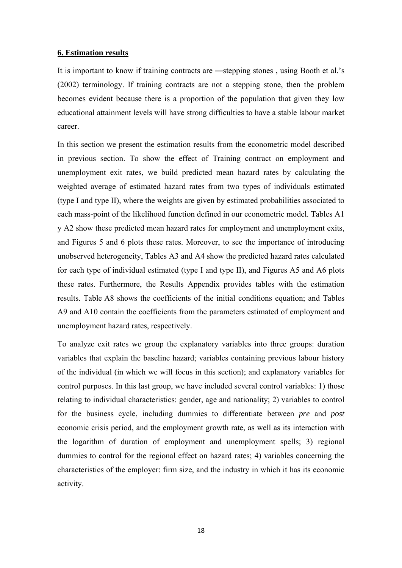### **6. Estimation results**

It is important to know if training contracts are ―stepping stones , using Booth et al.'s (2002) terminology. If training contracts are not a stepping stone, then the problem becomes evident because there is a proportion of the population that given they low educational attainment levels will have strong difficulties to have a stable labour market career.

In this section we present the estimation results from the econometric model described in previous section. To show the effect of Training contract on employment and unemployment exit rates, we build predicted mean hazard rates by calculating the weighted average of estimated hazard rates from two types of individuals estimated (type I and type II), where the weights are given by estimated probabilities associated to each mass-point of the likelihood function defined in our econometric model. Tables A1 y A2 show these predicted mean hazard rates for employment and unemployment exits, and Figures 5 and 6 plots these rates. Moreover, to see the importance of introducing unobserved heterogeneity, Tables A3 and A4 show the predicted hazard rates calculated for each type of individual estimated (type I and type II), and Figures A5 and A6 plots these rates. Furthermore, the Results Appendix provides tables with the estimation results. Table A8 shows the coefficients of the initial conditions equation; and Tables A9 and A10 contain the coefficients from the parameters estimated of employment and unemployment hazard rates, respectively.

To analyze exit rates we group the explanatory variables into three groups: duration variables that explain the baseline hazard; variables containing previous labour history of the individual (in which we will focus in this section); and explanatory variables for control purposes. In this last group, we have included several control variables: 1) those relating to individual characteristics: gender, age and nationality; 2) variables to control for the business cycle, including dummies to differentiate between *pre* and *post* economic crisis period, and the employment growth rate, as well as its interaction with the logarithm of duration of employment and unemployment spells; 3) regional dummies to control for the regional effect on hazard rates; 4) variables concerning the characteristics of the employer: firm size, and the industry in which it has its economic activity.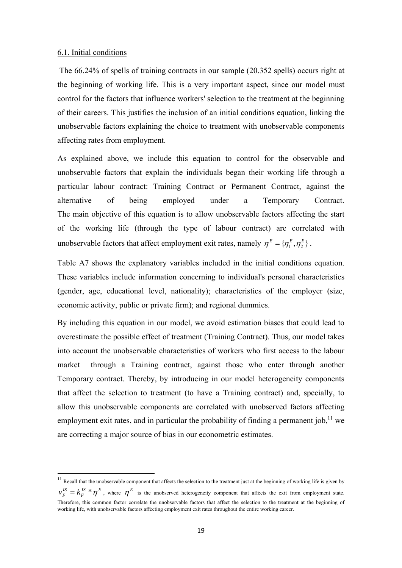### 6.1. Initial conditions

The 66.24% of spells of training contracts in our sample (20.352 spells) occurs right at the beginning of working life. This is a very important aspect, since our model must control for the factors that influence workers' selection to the treatment at the beginning of their careers. This justifies the inclusion of an initial conditions equation, linking the unobservable factors explaining the choice to treatment with unobservable components affecting rates from employment.

As explained above, we include this equation to control for the observable and unobservable factors that explain the individuals began their working life through a particular labour contract: Training Contract or Permanent Contract, against the alternative of being employed under a Temporary Contract. The main objective of this equation is to allow unobservable factors affecting the start of the working life (through the type of labour contract) are correlated with unobservable factors that affect employment exit rates, namely  $\eta^E = \{\eta^E_i, \eta^E_i\}$ .

Table A7 shows the explanatory variables included in the initial conditions equation. These variables include information concerning to individual's personal characteristics (gender, age, educational level, nationality); characteristics of the employer (size, economic activity, public or private firm); and regional dummies.

By including this equation in our model, we avoid estimation biases that could lead to overestimate the possible effect of treatment (Training Contract). Thus, our model takes into account the unobservable characteristics of workers who first access to the labour market through a Training contract, against those who enter through another Temporary contract. Thereby, by introducing in our model heterogeneity components that affect the selection to treatment (to have a Training contract) and, specially, to allow this unobservable components are correlated with unobserved factors affecting employment exit rates, and in particular the probability of finding a permanent iob.<sup>11</sup> we are correcting a major source of bias in our econometric estimates.

 $11$  Recall that the unobservable component that affects the selection to the treatment just at the beginning of working life is given by  $IS \ast F$ *F*  $v_F^{IS} = k_F^{IS} * \eta^E$ , where  $\eta^E$  is the unobserved heterogeneity component that affects the exit from employment state. Therefore, this common factor correlate the unobservable factors that affect the selection to the treatment at the beginning of working life, with unobservable factors affecting employment exit rates throughout the entire working career.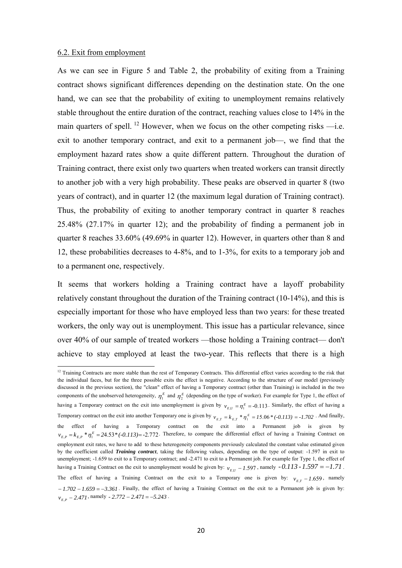### 6.2. Exit from employment

As we can see in Figure 5 and Table 2, the probability of exiting from a Training contract shows significant differences depending on the destination state. On the one hand, we can see that the probability of exiting to unemployment remains relatively stable throughout the entire duration of the contract, reaching values close to 14% in the main quarters of spell. <sup>12</sup> However, when we focus on the other competing risks  $\frac{d}{dx}$ . exit to another temporary contract, and exit to a permanent job—, we find that the employment hazard rates show a quite different pattern. Throughout the duration of Training contract, there exist only two quarters when treated workers can transit directly to another job with a very high probability. These peaks are observed in quarter 8 (two years of contract), and in quarter 12 (the maximum legal duration of Training contract). Thus, the probability of exiting to another temporary contract in quarter 8 reaches 25.48% (27.17% in quarter 12); and the probability of finding a permanent job in quarter 8 reaches 33.60% (49.69% in quarter 12). However, in quarters other than 8 and 12, these probabilities decreases to 4-8%, and to 1-3%, for exits to a temporary job and to a permanent one, respectively.

It seems that workers holding a Training contract have a layoff probability relatively constant throughout the duration of the Training contract (10-14%), and this is especially important for those who have employed less than two years: for these treated workers, the only way out is unemployment. This issue has a particular relevance, since over 40% of our sample of treated workers —those holding a Training contract— don't achieve to stay employed at least the two-year. This reflects that there is a high

<sup>&</sup>lt;sup>12</sup> Training Contracts are more stable than the rest of Temporary Contracts. This differential effect varies according to the risk that the individual faces, but for the three possible exits the effect is negative. According to the structure of our model (previously discussed in the previous section), the "clean" effect of having a Temporary contract (other than Training) is included in the two components of the unobserved heterogeneity,  $\eta_1^E$  and  $\eta_2^E$  (depending on the type of worker). For example for Type 1, the effect of having a Temporary contract on the exit into unemployment is given by  $v_{E,U} = \eta_1^E = -0.113$ . Similarly, the effect of having a Temporary contract on the exit into another Temporary one is given by  $v_{E,T} = k_{E,T} * \eta_{\perp}^E = 15.06 * (-0.113) = -1.702$ . And finally, the effect of having a Temporary contract on the exit into a Permanent job is given by  $v_{E,P} = k_{E,P} * \eta_1^E = 24.53 * (-0.113) = -2.772$ . Therefore, to compare the differential effect of having a Training Contract on employment exit rates, we have to add to these heterogeneity components previously calculated the constant value estimated given by the coefficient called *Training contract*, taking the following values, depending on the type of output: -1.597 in exit to unemployment; -1.659 to exit to a Temporary contract; and -2.471 to exit to a Permanent job. For example for Type 1, the effect of having a Training Contract on the exit to unemployment would be given by:  $v_{E,U}$  – 1.597, namely -0.113 - 1.597 = -1.71. The effect of having a Training Contract on the exit to a Temporary one is given by:  $v_{ET} - 1.659$ , namely  $-1.702 - 1.659 = -3.361$ . Finally, the effect of having a Training Contract on the exit to a Permanent job is given by:  $v_{E,P}$  – 2.471, namely - 2.772 – 2.471 = -5.243.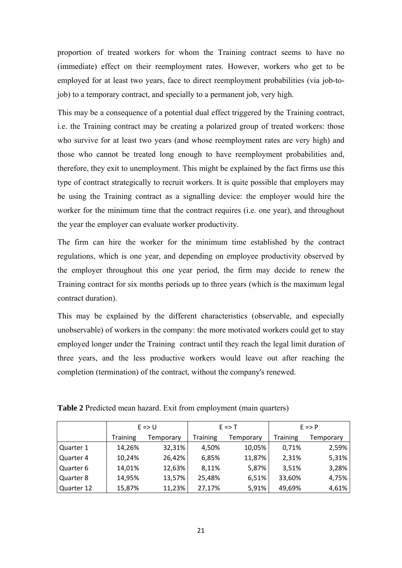proportion of treated workers for whom the Training contract seems to have no (immediate) effect on their reemployment rates. However, workers who get to be employed for at least two years, face to direct reemployment probabilities (via job-tojob) to a temporary contract, and specially to a permanent job, very high.

This may be a consequence of a potential dual effect triggered by the Training contract, i.e. the Training contract may be creating a polarized group of treated workers: those who survive for at least two years (and whose reemployment rates are very high) and those who cannot be treated long enough to have reemployment probabilities and, therefore, they exit to unemployment. This might be explained by the fact firms use this type of contract strategically to recruit workers. It is quite possible that employers may be using the Training contract as a signalling device: the employer would hire the worker for the minimum time that the contract requires (i.e. one year), and throughout the year the employer can evaluate worker productivity.

The firm can hire the worker for the minimum time established by the contract regulations, which is one year, and depending on employee productivity observed by the employer throughout this one year period, the firm may decide to renew the Training contract for six months periods up to three years (which is the maximum legal contract duration).

This may be explained by the different characteristics (observable, and especially unobservable) of workers in the company: the more motivated workers could get to stay employed longer under the Training contract until they reach the legal limit duration of three years, and the less productive workers would leave out after reaching the completion (termination) of the contract, without the company's renewed.

|            | $E \Rightarrow U$<br><b>Training</b><br>Temporary |        |                 | $E \Rightarrow T$ | $E \Rightarrow P$ |                  |  |
|------------|---------------------------------------------------|--------|-----------------|-------------------|-------------------|------------------|--|
|            |                                                   |        | <b>Training</b> | Temporary         | Training          | <b>Temporary</b> |  |
| Quarter 1  | 14,26%                                            | 32,31% | 4,50%           | 10,05%            | 0,71%             | 2,59%            |  |
| Quarter 4  | 10,24%                                            | 26,42% | 6,85%           | 11,87%            | 2,31%             | 5,31%            |  |
| Quarter 6  | 14,01%                                            | 12,63% | 8,11%           | 5,87%             | 3,51%             | 3,28%            |  |
| Quarter 8  | 14,95%                                            | 13,57% | 25,48%          | 6,51%             | 33,60%            | 4,75%            |  |
| Quarter 12 | 15,87%                                            | 11,23% | 27,17%          | 5,91%             | 49,69%            | 4,61%            |  |

**Table 2** Predicted mean hazard. Exit from employment (main quarters)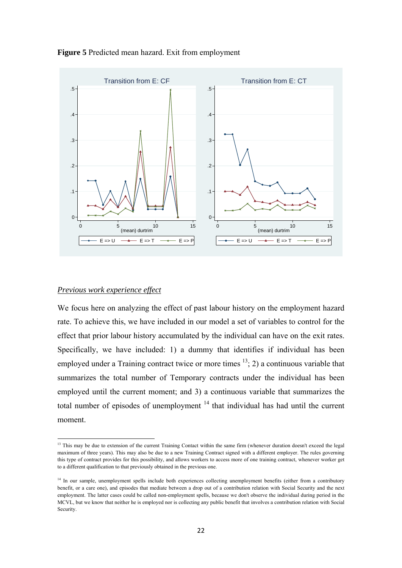

**Figure 5** Predicted mean hazard. Exit from employment

### *Previous work experience effect*

We focus here on analyzing the effect of past labour history on the employment hazard rate. To achieve this, we have included in our model a set of variables to control for the effect that prior labour history accumulated by the individual can have on the exit rates. Specifically, we have included: 1) a dummy that identifies if individual has been employed under a Training contract twice or more times  $\frac{13}{2}$ ; 2) a continuous variable that summarizes the total number of Temporary contracts under the individual has been employed until the current moment; and 3) a continuous variable that summarizes the total number of episodes of unemployment  $14$  that individual has had until the current moment.

<sup>&</sup>lt;sup>13</sup> This may be due to extension of the current Training Contact within the same firm (whenever duration doesn't exceed the legal maximum of three years). This may also be due to a new Training Contract signed with a different employer. The rules governing this type of contract provides for this possibility, and allows workers to access more of one training contract, whenever worker get to a different qualification to that previously obtained in the previous one.

<sup>&</sup>lt;sup>14</sup> In our sample, unemployment spells include both experiences collecting unemployment benefits (either from a contributory benefit, or a care one), and episodes that mediate between a drop out of a contribution relation with Social Security and the next employment. The latter cases could be called non-employment spells, because we don't observe the individual during period in the MCVL, but we know that neither he is employed nor is collecting any public benefit that involves a contribution relation with Social Security.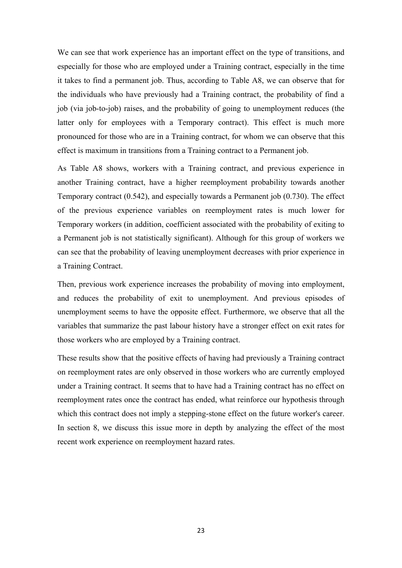We can see that work experience has an important effect on the type of transitions, and especially for those who are employed under a Training contract, especially in the time it takes to find a permanent job. Thus, according to Table A8, we can observe that for the individuals who have previously had a Training contract, the probability of find a job (via job-to-job) raises, and the probability of going to unemployment reduces (the latter only for employees with a Temporary contract). This effect is much more pronounced for those who are in a Training contract, for whom we can observe that this effect is maximum in transitions from a Training contract to a Permanent job.

As Table A8 shows, workers with a Training contract, and previous experience in another Training contract, have a higher reemployment probability towards another Temporary contract (0.542), and especially towards a Permanent job (0.730). The effect of the previous experience variables on reemployment rates is much lower for Temporary workers (in addition, coefficient associated with the probability of exiting to a Permanent job is not statistically significant). Although for this group of workers we can see that the probability of leaving unemployment decreases with prior experience in a Training Contract.

Then, previous work experience increases the probability of moving into employment, and reduces the probability of exit to unemployment. And previous episodes of unemployment seems to have the opposite effect. Furthermore, we observe that all the variables that summarize the past labour history have a stronger effect on exit rates for those workers who are employed by a Training contract.

These results show that the positive effects of having had previously a Training contract on reemployment rates are only observed in those workers who are currently employed under a Training contract. It seems that to have had a Training contract has no effect on reemployment rates once the contract has ended, what reinforce our hypothesis through which this contract does not imply a stepping-stone effect on the future worker's career. In section 8, we discuss this issue more in depth by analyzing the effect of the most recent work experience on reemployment hazard rates.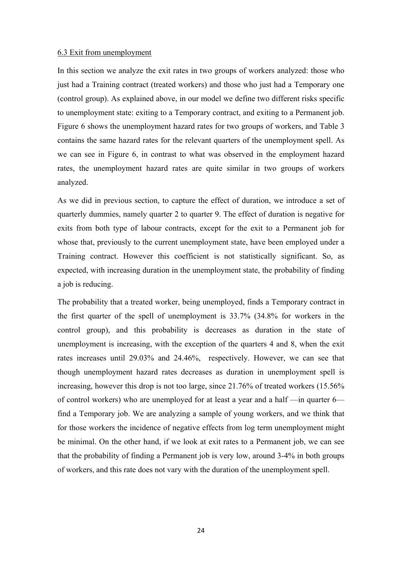### 6.3 Exit from unemployment

In this section we analyze the exit rates in two groups of workers analyzed: those who just had a Training contract (treated workers) and those who just had a Temporary one (control group). As explained above, in our model we define two different risks specific to unemployment state: exiting to a Temporary contract, and exiting to a Permanent job. Figure 6 shows the unemployment hazard rates for two groups of workers, and Table 3 contains the same hazard rates for the relevant quarters of the unemployment spell. As we can see in Figure 6, in contrast to what was observed in the employment hazard rates, the unemployment hazard rates are quite similar in two groups of workers analyzed.

As we did in previous section, to capture the effect of duration, we introduce a set of quarterly dummies, namely quarter 2 to quarter 9. The effect of duration is negative for exits from both type of labour contracts, except for the exit to a Permanent job for whose that, previously to the current unemployment state, have been employed under a Training contract. However this coefficient is not statistically significant. So, as expected, with increasing duration in the unemployment state, the probability of finding a job is reducing.

The probability that a treated worker, being unemployed, finds a Temporary contract in the first quarter of the spell of unemployment is 33.7% (34.8% for workers in the control group), and this probability is decreases as duration in the state of unemployment is increasing, with the exception of the quarters 4 and 8, when the exit rates increases until 29.03% and 24.46%, respectively. However, we can see that though unemployment hazard rates decreases as duration in unemployment spell is increasing, however this drop is not too large, since 21.76% of treated workers (15.56% of control workers) who are unemployed for at least a year and a half —in quarter 6 find a Temporary job. We are analyzing a sample of young workers, and we think that for those workers the incidence of negative effects from log term unemployment might be minimal. On the other hand, if we look at exit rates to a Permanent job, we can see that the probability of finding a Permanent job is very low, around 3-4% in both groups of workers, and this rate does not vary with the duration of the unemployment spell.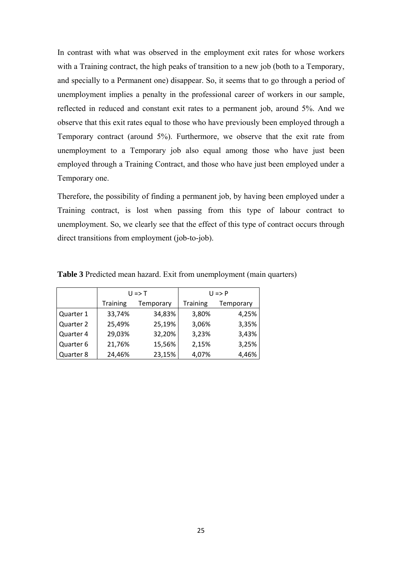In contrast with what was observed in the employment exit rates for whose workers with a Training contract, the high peaks of transition to a new job (both to a Temporary, and specially to a Permanent one) disappear. So, it seems that to go through a period of unemployment implies a penalty in the professional career of workers in our sample, reflected in reduced and constant exit rates to a permanent job, around 5%. And we observe that this exit rates equal to those who have previously been employed through a Temporary contract (around 5%). Furthermore, we observe that the exit rate from unemployment to a Temporary job also equal among those who have just been employed through a Training Contract, and those who have just been employed under a Temporary one.

Therefore, the possibility of finding a permanent job, by having been employed under a Training contract, is lost when passing from this type of labour contract to unemployment. So, we clearly see that the effect of this type of contract occurs through direct transitions from employment (job-to-job).

|           |                              | $U \Rightarrow T$ | $U \Rightarrow P$ |           |  |  |
|-----------|------------------------------|-------------------|-------------------|-----------|--|--|
|           | <b>Training</b><br>Temporary |                   | <b>Training</b>   | Temporary |  |  |
| Quarter 1 | 33,74%                       | 34,83%            | 3,80%             | 4,25%     |  |  |
| Quarter 2 | 25,49%                       | 25,19%            | 3,06%             | 3,35%     |  |  |
| Quarter 4 | 29,03%                       | 32,20%            | 3,23%             | 3,43%     |  |  |
| Quarter 6 | 21,76%                       | 15,56%            | 2,15%             | 3,25%     |  |  |
| Quarter 8 | 24,46%                       | 23,15%            | 4,07%             | 4,46%     |  |  |

**Table 3** Predicted mean hazard. Exit from unemployment (main quarters)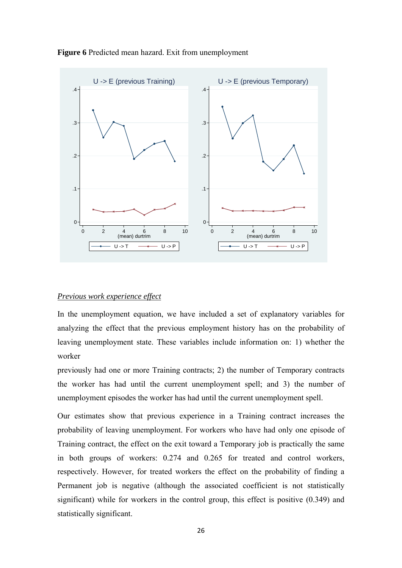

### **Figure 6** Predicted mean hazard. Exit from unemployment

### *Previous work experience effect*

In the unemployment equation, we have included a set of explanatory variables for analyzing the effect that the previous employment history has on the probability of leaving unemployment state. These variables include information on: 1) whether the worker

previously had one or more Training contracts; 2) the number of Temporary contracts the worker has had until the current unemployment spell; and 3) the number of unemployment episodes the worker has had until the current unemployment spell.

Our estimates show that previous experience in a Training contract increases the probability of leaving unemployment. For workers who have had only one episode of Training contract, the effect on the exit toward a Temporary job is practically the same in both groups of workers: 0.274 and 0.265 for treated and control workers, respectively. However, for treated workers the effect on the probability of finding a Permanent job is negative (although the associated coefficient is not statistically significant) while for workers in the control group, this effect is positive (0.349) and statistically significant.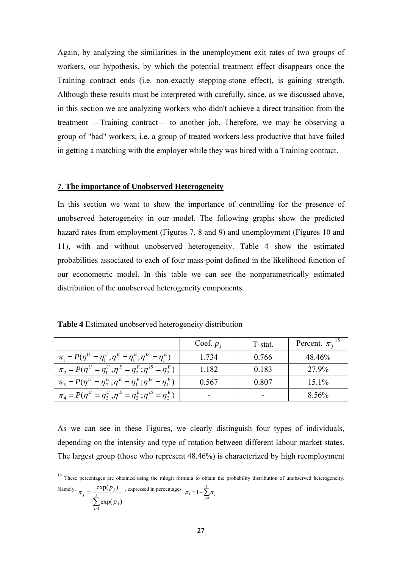Again, by analyzing the similarities in the unemployment exit rates of two groups of workers, our hypothesis, by which the potential treatment effect disappears once the Training contract ends (i.e. non-exactly stepping-stone effect), is gaining strength. Although these results must be interpreted with carefully, since, as we discussed above, in this section we are analyzing workers who didn't achieve a direct transition from the treatment —Training contract— to another job. Therefore, we may be observing a group of "bad" workers, i.e. a group of treated workers less productive that have failed in getting a matching with the employer while they was hired with a Training contract.

### **7. The importance of Unobserved Heterogeneity**

In this section we want to show the importance of controlling for the presence of unobserved heterogeneity in our model. The following graphs show the predicted hazard rates from employment (Figures 7, 8 and 9) and unemployment (Figures 10 and 11), with and without unobserved heterogeneity. Table 4 show the estimated probabilities associated to each of four mass-point defined in the likelihood function of our econometric model. In this table we can see the nonparametrically estimated distribution of the unobserved heterogeneity components.

**Table 4** Estimated unobserved heterogeneity distribution

|                                                                                           | Coef. $p_i$ | T-stat. | Percent. $\pi_i$ <sup>1</sup> |
|-------------------------------------------------------------------------------------------|-------------|---------|-------------------------------|
| $\pi_1 = P(\eta^U = \eta_1^U, \eta^E = \eta_1^E; \eta^E = \eta_1^E)$                      | 1.734       | 0.766   | 48.46%                        |
| $\pi_{2} = P(\eta^{U} = \eta_{1}^{U}, \eta^{E} = \eta_{2}^{E}; \eta^{IS} = \eta_{2}^{E})$ | 1.182       | 0.183   | 27.9%                         |
| $\pi_3 = P(\eta^U = \eta_2^U, \eta^E = \eta_1^E; \eta^{IS} = \eta_1^E)$                   | 0.567       | 0.807   | $15.1\%$                      |
| $\pi_4 = P(\eta^U = \eta_2^U, \eta^E = \eta_2^E; \eta^{IS} = \eta_2^E)$                   | -           |         | 8.56%                         |

As we can see in these Figures, we clearly distinguish four types of individuals, depending on the intensity and type of rotation between different labour market states. The largest group (those who represent 48.46%) is characterized by high reemployment

<sup>15</sup> These percentages are obtained using the mlogit formula to obtain the probability distribution of unobserved heterogeneity. Namely,  $\sum_{j=1}$  $=\frac{1}{3}$ 1  $exp(p_i)$  $exp(p_i)$  $\sum_{j=1}^{\infty}$   $\exp(P_j)$  $j = \frac{\exp(\frac{p_j}{p_j})}{\sum_{i=1}^{3} \exp(p_i)}$  $\pi_j = \frac{\exp(p_j)}{\sum_{j=1}^3 \sigma_j}$ , expressed in percentages.  $\pi_4 = 1 - \sum_{j=1}^3 \sigma_j$  $\pi_4 = 1 - \sum_{j=1}^n \pi_j$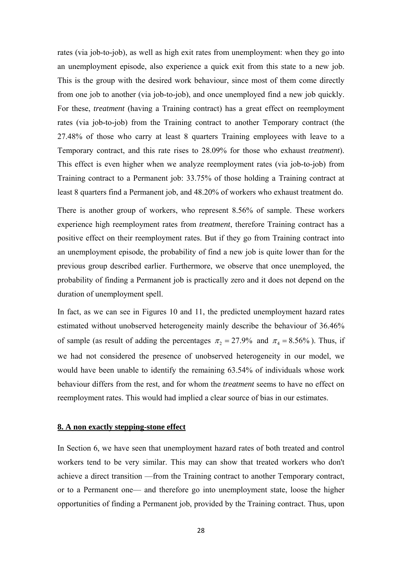rates (via job-to-job), as well as high exit rates from unemployment: when they go into an unemployment episode, also experience a quick exit from this state to a new job. This is the group with the desired work behaviour, since most of them come directly from one job to another (via job-to-job), and once unemployed find a new job quickly. For these, *treatment* (having a Training contract) has a great effect on reemployment rates (via job-to-job) from the Training contract to another Temporary contract (the 27.48% of those who carry at least 8 quarters Training employees with leave to a Temporary contract, and this rate rises to 28.09% for those who exhaust *treatment*). This effect is even higher when we analyze reemployment rates (via job-to-job) from Training contract to a Permanent job: 33.75% of those holding a Training contract at least 8 quarters find a Permanent job, and 48.20% of workers who exhaust treatment do.

There is another group of workers, who represent 8.56% of sample. These workers experience high reemployment rates from *treatment*, therefore Training contract has a positive effect on their reemployment rates. But if they go from Training contract into an unemployment episode, the probability of find a new job is quite lower than for the previous group described earlier. Furthermore, we observe that once unemployed, the probability of finding a Permanent job is practically zero and it does not depend on the duration of unemployment spell.

In fact, as we can see in Figures 10 and 11, the predicted unemployment hazard rates estimated without unobserved heterogeneity mainly describe the behaviour of 36.46% of sample (as result of adding the percentages  $\pi_2 = 27.9\%$  and  $\pi_4 = 8.56\%$ ). Thus, if we had not considered the presence of unobserved heterogeneity in our model, we would have been unable to identify the remaining 63.54% of individuals whose work behaviour differs from the rest, and for whom the *treatment* seems to have no effect on reemployment rates. This would had implied a clear source of bias in our estimates.

# **8. A non exactly stepping-stone effect**

In Section 6, we have seen that unemployment hazard rates of both treated and control workers tend to be very similar. This may can show that treated workers who don't achieve a direct transition —from the Training contract to another Temporary contract, or to a Permanent one— and therefore go into unemployment state, loose the higher opportunities of finding a Permanent job, provided by the Training contract. Thus, upon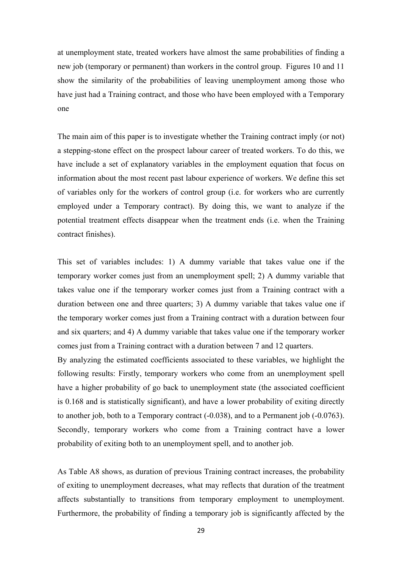at unemployment state, treated workers have almost the same probabilities of finding a new job (temporary or permanent) than workers in the control group. Figures 10 and 11 show the similarity of the probabilities of leaving unemployment among those who have just had a Training contract, and those who have been employed with a Temporary one

The main aim of this paper is to investigate whether the Training contract imply (or not) a stepping-stone effect on the prospect labour career of treated workers. To do this, we have include a set of explanatory variables in the employment equation that focus on information about the most recent past labour experience of workers. We define this set of variables only for the workers of control group (i.e. for workers who are currently employed under a Temporary contract). By doing this, we want to analyze if the potential treatment effects disappear when the treatment ends (i.e. when the Training contract finishes).

This set of variables includes: 1) A dummy variable that takes value one if the temporary worker comes just from an unemployment spell; 2) A dummy variable that takes value one if the temporary worker comes just from a Training contract with a duration between one and three quarters; 3) A dummy variable that takes value one if the temporary worker comes just from a Training contract with a duration between four and six quarters; and 4) A dummy variable that takes value one if the temporary worker comes just from a Training contract with a duration between 7 and 12 quarters.

By analyzing the estimated coefficients associated to these variables, we highlight the following results: Firstly, temporary workers who come from an unemployment spell have a higher probability of go back to unemployment state (the associated coefficient is 0.168 and is statistically significant), and have a lower probability of exiting directly to another job, both to a Temporary contract (-0.038), and to a Permanent job (-0.0763). Secondly, temporary workers who come from a Training contract have a lower probability of exiting both to an unemployment spell, and to another job.

As Table A8 shows, as duration of previous Training contract increases, the probability of exiting to unemployment decreases, what may reflects that duration of the treatment affects substantially to transitions from temporary employment to unemployment. Furthermore, the probability of finding a temporary job is significantly affected by the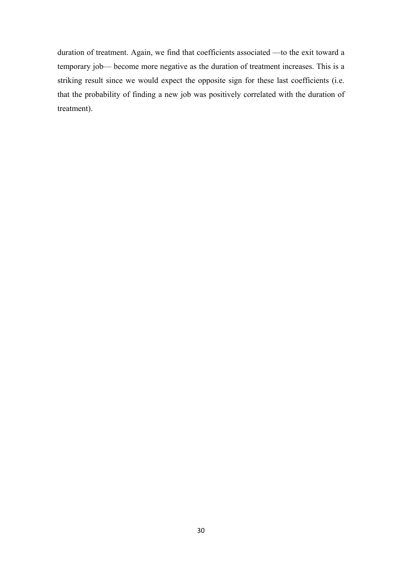duration of treatment. Again, we find that coefficients associated —to the exit toward a temporary job— become more negative as the duration of treatment increases. This is a striking result since we would expect the opposite sign for these last coefficients (i.e. that the probability of finding a new job was positively correlated with the duration of treatment).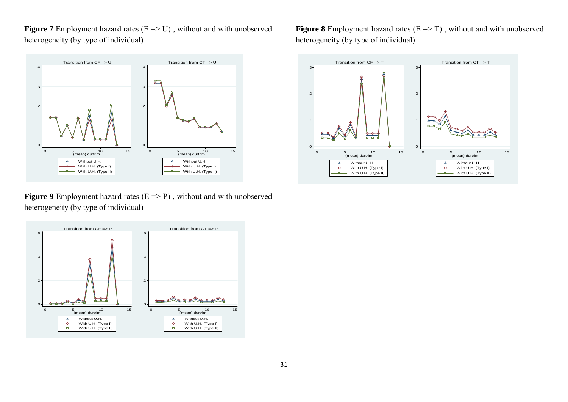**Figure 7** Employment hazard rates  $(E \Rightarrow U)$ , without and with unobserved heterogeneity (by type of individual)



**Figure 9** Employment hazard rates  $(E \Rightarrow P)$ , without and with unobserved heterogeneity (by type of individual)



**Figure 8** Employment hazard rates  $(E \Rightarrow T)$ , without and with unobserved heterogeneity (by type of individual)

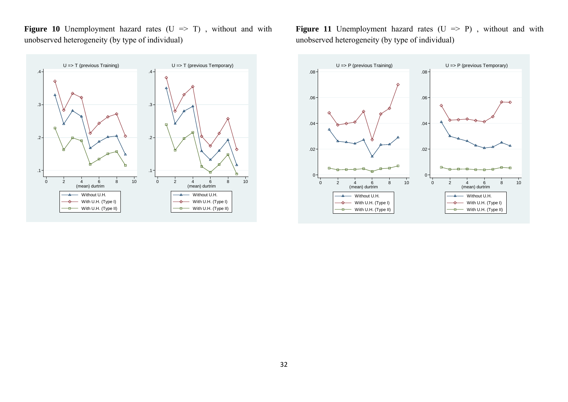**Figure 10** Unemployment hazard rates  $(U \implies T)$ , without and with unobserved heterogeneity (by type of individual)



**Figure 11** Unemployment hazard rates  $(U \implies P)$ , without and with unobserved heterogeneity (by type of individual)

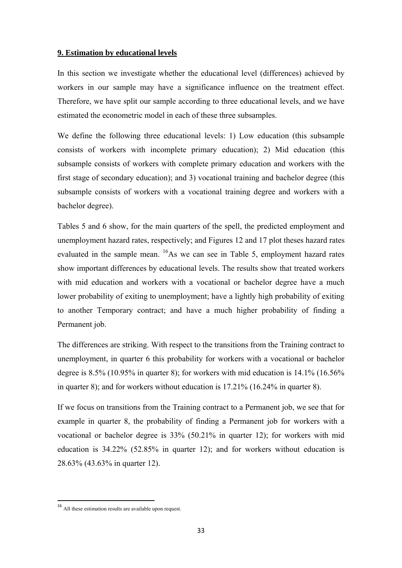# **9. Estimation by educational levels**

In this section we investigate whether the educational level (differences) achieved by workers in our sample may have a significance influence on the treatment effect. Therefore, we have split our sample according to three educational levels, and we have estimated the econometric model in each of these three subsamples.

We define the following three educational levels: 1) Low education (this subsample consists of workers with incomplete primary education); 2) Mid education (this subsample consists of workers with complete primary education and workers with the first stage of secondary education); and 3) vocational training and bachelor degree (this subsample consists of workers with a vocational training degree and workers with a bachelor degree).

Tables 5 and 6 show, for the main quarters of the spell, the predicted employment and unemployment hazard rates, respectively; and Figures 12 and 17 plot theses hazard rates evaluated in the sample mean.  $^{16}$ As we can see in Table 5, employment hazard rates show important differences by educational levels. The results show that treated workers with mid education and workers with a vocational or bachelor degree have a much lower probability of exiting to unemployment; have a lightly high probability of exiting to another Temporary contract; and have a much higher probability of finding a Permanent job.

The differences are striking. With respect to the transitions from the Training contract to unemployment, in quarter 6 this probability for workers with a vocational or bachelor degree is  $8.5\%$  (10.95% in quarter 8); for workers with mid education is  $14.1\%$  (16.56%) in quarter 8); and for workers without education is 17.21% (16.24% in quarter 8).

If we focus on transitions from the Training contract to a Permanent job, we see that for example in quarter 8, the probability of finding a Permanent job for workers with a vocational or bachelor degree is 33% (50.21% in quarter 12); for workers with mid education is 34.22% (52.85% in quarter 12); and for workers without education is 28.63% (43.63% in quarter 12).

<sup>&</sup>lt;sup>16</sup> All these estimation results are available upon request.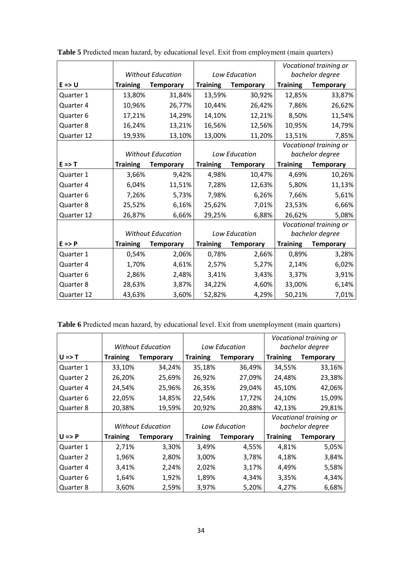|                   |                 |                          |                 |                      |                 | Vocational training or |
|-------------------|-----------------|--------------------------|-----------------|----------------------|-----------------|------------------------|
|                   |                 | <b>Without Education</b> |                 | Low Education        |                 | bachelor degree        |
| $E \Rightarrow U$ | <b>Training</b> | <b>Temporary</b>         | <b>Training</b> | <b>Temporary</b>     | <b>Training</b> | <b>Temporary</b>       |
| Quarter 1         | 13,80%          | 31,84%                   | 13,59%          | 30,92%               | 12,85%          | 33,87%                 |
| Quarter 4         | 10,96%          | 26,77%                   | 10,44%          | 26,42%               | 7,86%           | 26,62%                 |
| Quarter 6         | 17,21%          | 14,29%                   | 14,10%          | 12,21%               | 8,50%           | 11,54%                 |
| Quarter 8         | 16,24%          | 13,21%                   | 16,56%          | 12,56%               | 10,95%          | 14,79%                 |
| Quarter 12        | 19,93%          | 13,10%                   | 13,00%          | 11,20%               | 13,51%          | 7,85%                  |
|                   |                 |                          |                 |                      |                 | Vocational training or |
|                   |                 | <b>Without Education</b> |                 | Low Education        |                 | bachelor degree        |
| $E \Rightarrow T$ | <b>Training</b> | <b>Temporary</b>         | <b>Training</b> | <b>Temporary</b>     | <b>Training</b> | <b>Temporary</b>       |
| Quarter 1         | 3,66%           | 9,42%                    | 4,98%           | 10,47%               | 4,69%           | 10,26%                 |
| Quarter 4         | 6,04%           | 11,51%                   | 7,28%           | 12,63%               | 5,80%           | 11,13%                 |
| Quarter 6         | 7,26%           | 5,73%                    | 7,98%           | 6,26%                | 7,66%           | 5,61%                  |
| Quarter 8         | 25,52%          | 6,16%                    | 25,62%          | 7,01%                | 23,53%          | 6,66%                  |
| Quarter 12        | 26,87%          | 6,66%                    | 29,25%<br>6,88% |                      | 26,62%          | 5,08%                  |
|                   |                 |                          |                 |                      |                 | Vocational training or |
|                   |                 | <b>Without Education</b> |                 | <b>Low Education</b> |                 | bachelor degree        |
| $E \Rightarrow P$ | <b>Training</b> | <b>Temporary</b>         | <b>Training</b> | <b>Temporary</b>     | <b>Training</b> | <b>Temporary</b>       |
| Quarter 1         | 0,54%           | 2,06%                    | 0,78%           | 2,66%                | 0,89%           | 3,28%                  |
| Quarter 4         | 1,70%           | 4,61%                    | 2,57%           | 5,27%                | 2,14%           | 6,02%                  |
| Quarter 6         | 2,86%           | 2,48%                    | 3,41%           | 3,43%                | 3,37%           | 3,91%                  |
| Quarter 8         | 28,63%          | 3,87%                    | 34,22%          | 4,60%                | 33,00%          | 6,14%                  |
| Quarter 12        | 43,63%          | 3,60%                    | 52,82%          | 4,29%                | 50,21%          | 7,01%                  |

**Table 5** Predicted mean hazard, by educational level. Exit from employment (main quarters)

**Table 6** Predicted mean hazard, by educational level. Exit from unemployment (main quarters)

|                   |                          |                          |                 |                      | Vocational training or |                        |  |  |
|-------------------|--------------------------|--------------------------|-----------------|----------------------|------------------------|------------------------|--|--|
|                   | <b>Without Education</b> |                          |                 | <b>Low Education</b> |                        | bachelor degree        |  |  |
| $U \Rightarrow T$ | <b>Training</b>          | <b>Temporary</b>         | <b>Training</b> | <b>Temporary</b>     | <b>Training</b>        | <b>Temporary</b>       |  |  |
| Quarter 1         | 33,10%                   | 34,24%                   | 35,18%          | 36,49%               | 34,55%                 | 33,16%                 |  |  |
| Quarter 2         | 26,20%                   | 25,69%                   | 26,92%          | 27,09%               | 24,48%                 | 23,38%                 |  |  |
| Quarter 4         | 24,54%                   | 25,96%                   | 26,35%          | 29,04%               | 45,10%                 | 42,06%                 |  |  |
| Quarter 6         | 22,05%                   | 14,85%                   | 22,54%          | 17,72%               | 24,10%                 | 15,09%                 |  |  |
| Quarter 8         | 20,38%                   | 19,59%                   | 20,92%          | 20,88%               | 42,13%                 | 29,81%                 |  |  |
|                   |                          |                          |                 |                      |                        | Vocational training or |  |  |
|                   |                          | <b>Without Education</b> |                 | <b>Low Education</b> | bachelor degree        |                        |  |  |
| $U \Rightarrow P$ | <b>Training</b>          | <b>Temporary</b>         | <b>Training</b> | Temporary            | <b>Training</b>        | <b>Temporary</b>       |  |  |
| Quarter 1         | 2,71%                    | 3,30%                    | 3,49%           | 4,55%                | 4,81%                  | 5,05%                  |  |  |
| Quarter 2         | 1,96%                    | 2,80%                    | 3,00%           | 3,78%                | 4,18%                  | 3,84%                  |  |  |
| Quarter 4         | 3,41%                    | 2,24%                    | 2,02%           | 3,17%                | 4,49%                  | 5,58%                  |  |  |
| Quarter 6         | 1,64%                    | 1,92%                    | 1,89%           | 4,34%                | 3,35%                  | 4,34%                  |  |  |
| Quarter 8         | 3,60%                    | 2,59%                    | 3,97%           | 5,20%                | 4,27%                  | 6,68%                  |  |  |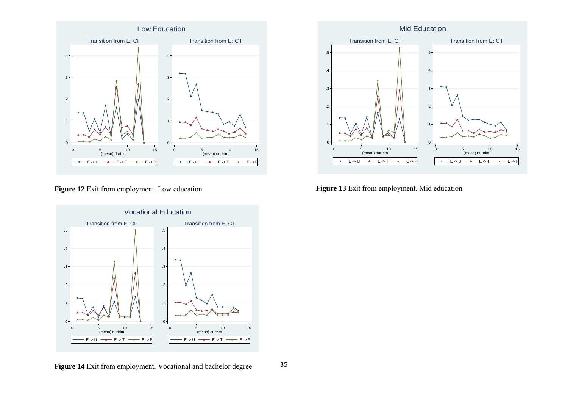

**Figure 12** Exit from employment. Low education



**Figure 14** Exit from employment. Vocational and bachelor degree



**Figure 13** Exit from employment. Mid education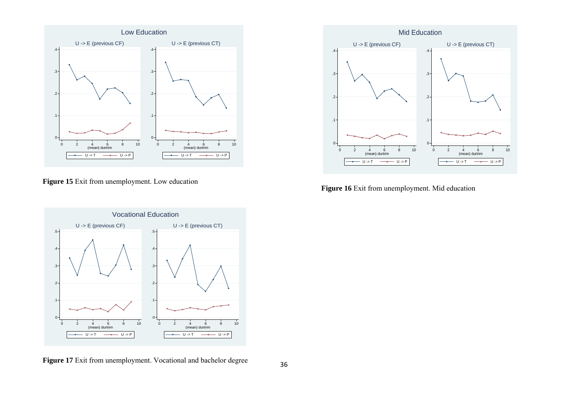

**Figure 15** Exit from unemployment. Low education



**Figure 17** Exit from unemployment. Vocational and bachelor degree



**Figure 16** Exit from unemployment. Mid education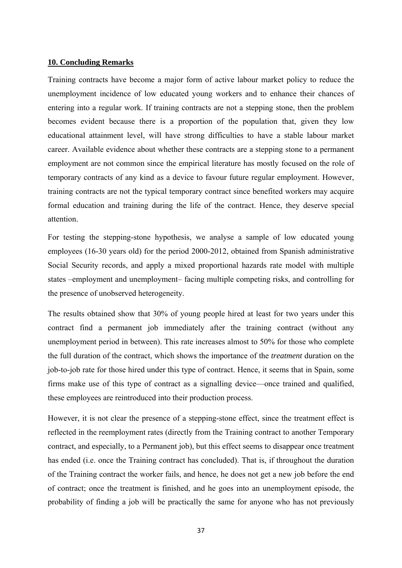# **10. Concluding Remarks**

Training contracts have become a major form of active labour market policy to reduce the unemployment incidence of low educated young workers and to enhance their chances of entering into a regular work. If training contracts are not a stepping stone, then the problem becomes evident because there is a proportion of the population that, given they low educational attainment level, will have strong difficulties to have a stable labour market career. Available evidence about whether these contracts are a stepping stone to a permanent employment are not common since the empirical literature has mostly focused on the role of temporary contracts of any kind as a device to favour future regular employment. However, training contracts are not the typical temporary contract since benefited workers may acquire formal education and training during the life of the contract. Hence, they deserve special attention.

For testing the stepping-stone hypothesis, we analyse a sample of low educated young employees (16-30 years old) for the period 2000-2012, obtained from Spanish administrative Social Security records, and apply a mixed proportional hazards rate model with multiple states –employment and unemployment– facing multiple competing risks, and controlling for the presence of unobserved heterogeneity.

The results obtained show that 30% of young people hired at least for two years under this contract find a permanent job immediately after the training contract (without any unemployment period in between). This rate increases almost to 50% for those who complete the full duration of the contract, which shows the importance of the *treatment* duration on the job-to-job rate for those hired under this type of contract. Hence, it seems that in Spain, some firms make use of this type of contract as a signalling device—once trained and qualified, these employees are reintroduced into their production process.

However, it is not clear the presence of a stepping-stone effect, since the treatment effect is reflected in the reemployment rates (directly from the Training contract to another Temporary contract, and especially, to a Permanent job), but this effect seems to disappear once treatment has ended (i.e. once the Training contract has concluded). That is, if throughout the duration of the Training contract the worker fails, and hence, he does not get a new job before the end of contract; once the treatment is finished, and he goes into an unemployment episode, the probability of finding a job will be practically the same for anyone who has not previously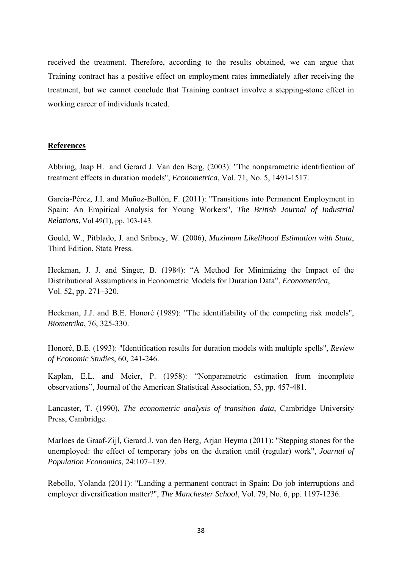received the treatment. Therefore, according to the results obtained, we can argue that Training contract has a positive effect on employment rates immediately after receiving the treatment, but we cannot conclude that Training contract involve a stepping-stone effect in working career of individuals treated.

# **References**

Abbring, Jaap H. and Gerard J. Van den Berg, (2003): "The nonparametric identification of treatment effects in duration models", *Econometrica*, Vol. 71, No. 5, 1491-1517.

García-Pérez, J.I. and Muñoz-Bullón, F. (2011): "Transitions into Permanent Employment in Spain: An Empirical Analysis for Young Workers", *The British Journal of Industrial Relations*, Vol 49(1), pp. 103-143.

Gould, W., Pitblado, J. and Sribney, W. (2006), *Maximum Likelihood Estimation with Stata*, Third Edition, Stata Press.

Heckman, J. J. and Singer, B. (1984): "A Method for Minimizing the Impact of the Distributional Assumptions in Econometric Models for Duration Data", *Econometrica*, Vol. 52, pp. 271–320.

Heckman, J.J. and B.E. Honoré (1989): "The identifiability of the competing risk models", *Biometrika*, 76, 325-330.

Honoré, B.E. (1993): "Identification results for duration models with multiple spells", *Review of Economic Studies*, 60, 241-246.

Kaplan, E.L. and Meier, P. (1958): "Nonparametric estimation from incomplete observations", Journal of the American Statistical Association, 53, pp. 457-481.

Lancaster, T. (1990), *The econometric analysis of transition data*, Cambridge University Press, Cambridge.

Marloes de Graaf-Zijl, Gerard J. van den Berg, Arjan Heyma (2011): "Stepping stones for the unemployed: the effect of temporary jobs on the duration until (regular) work", *Journal of Population Economics*, 24:107–139.

Rebollo, Yolanda (2011): "Landing a permanent contract in Spain: Do job interruptions and employer diversification matter?", *The Manchester School*, Vol. 79, No. 6, pp. 1197-1236.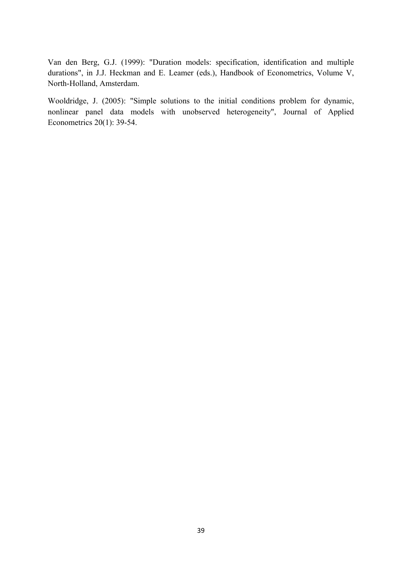Van den Berg, G.J. (1999): "Duration models: specification, identification and multiple durations", in J.J. Heckman and E. Leamer (eds.), Handbook of Econometrics, Volume V, North-Holland, Amsterdam.

Wooldridge, J. (2005): "Simple solutions to the initial conditions problem for dynamic, nonlinear panel data models with unobserved heterogeneity", Journal of Applied Econometrics 20(1): 39-54.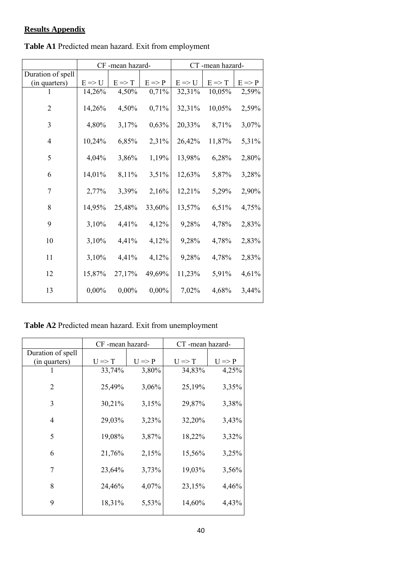# **Results Appendix**

|                   |                   | CF-mean hazard-   |                   | CT-mean hazard-   |                   |                   |  |
|-------------------|-------------------|-------------------|-------------------|-------------------|-------------------|-------------------|--|
| Duration of spell |                   |                   |                   |                   |                   |                   |  |
| (in quarters)     | $E \Rightarrow U$ | $E \Rightarrow T$ | $E \Rightarrow P$ | $E \Rightarrow U$ | $E \Rightarrow T$ | $E \Rightarrow P$ |  |
| 1                 | 14,26%            | 4,50%             | 0,71%             | 32,31%            | 10,05%            | 2,59%             |  |
| $\overline{2}$    | 14,26%            | 4,50%             | 0,71%             | 32,31%            | 10,05%            | 2,59%             |  |
| 3                 | 4,80%             | 3,17%             | 0,63%             | 20,33%            | 8,71%             | 3,07%             |  |
| $\overline{4}$    | 10,24%            | 6,85%             | 2,31%             | 26,42%            | 11,87%            | 5,31%             |  |
| 5                 | 4,04%             | 3,86%             | 1,19%             | 13,98%            | 6,28%             | 2,80%             |  |
| 6                 | 14,01%            | 8,11%             | 3,51%             | 12,63%            | 5,87%             | 3,28%             |  |
| 7                 | 2,77%             | 3,39%             | 2,16%             | 12,21%            | 5,29%             | 2,90%             |  |
| 8                 | 14,95%            | 25,48%            | 33,60%            | 13,57%            | 6,51%             | 4,75%             |  |
| 9                 | 3,10%             | 4,41%             | 4,12%             | 9,28%             | 4,78%             | 2,83%             |  |
| 10                | 3,10%             | 4,41%             | 4,12%             | 9,28%             | 4,78%             | 2,83%             |  |
| 11                | 3,10%             | 4,41%             | 4,12%             | 9,28%             | 4,78%             | 2,83%             |  |
| 12                | 15,87%            | 27,17%            | 49,69%            | 11,23%            | 5,91%             | 4,61%             |  |
| 13                | $0,00\%$          | $0,00\%$          | 0,00%             | 7,02%             | 4,68%             | 3,44%             |  |

**Table A1** Predicted mean hazard. Exit from employment

**Table A2** Predicted mean hazard. Exit from unemployment

|                   | CF-mean hazard-   |                   | CT-mean hazard-   |                   |  |  |
|-------------------|-------------------|-------------------|-------------------|-------------------|--|--|
| Duration of spell |                   |                   |                   |                   |  |  |
| (in quarters)     | $U \Rightarrow T$ | $U \Rightarrow P$ | $U \Rightarrow T$ | $U \Rightarrow P$ |  |  |
|                   | 33,74%            | 3,80%             | 34,83%            | 4,25%             |  |  |
| 2                 | 25,49%            | 3,06%             | 25,19%            | 3,35%             |  |  |
| 3                 | 30,21%            | 3,15%             | 29,87%            | 3,38%             |  |  |
| $\overline{4}$    | 29,03%            | 3,23%             | 32,20%            | 3,43%             |  |  |
| 5                 | 19,08%            | 3,87%             | 18,22%            | 3,32%             |  |  |
| 6                 | 21,76%            | 2,15%             | 15,56%            | 3,25%             |  |  |
| 7                 | 23,64%            | 3,73%             | 19,03%            | 3,56%             |  |  |
| 8                 | 24,46%            | 4,07%             | 23,15%            | 4,46%             |  |  |
| 9                 | 18,31%            | 5,53%             | 14,60%            | 4,43%             |  |  |
|                   |                   |                   |                   |                   |  |  |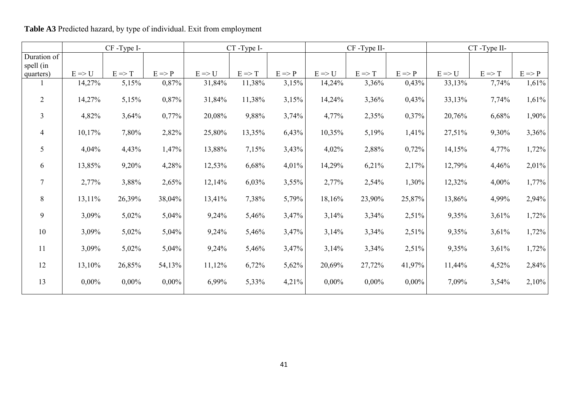|                   | CF-Type I-        |                   |                   | CT-Type I-        |                   |                   | $CF$ -Type II-    |                   |                   | CT-Type II-       |                   |
|-------------------|-------------------|-------------------|-------------------|-------------------|-------------------|-------------------|-------------------|-------------------|-------------------|-------------------|-------------------|
|                   |                   |                   |                   |                   |                   |                   |                   |                   |                   |                   |                   |
| $E \Rightarrow U$ | $E \Rightarrow T$ | $E \Rightarrow P$ | $E \Rightarrow U$ | $E \Rightarrow T$ | $E \Rightarrow P$ | $E \Rightarrow U$ | $E \Rightarrow T$ | $E \Rightarrow P$ | $E \Rightarrow U$ | $E \Rightarrow T$ | $E \Rightarrow P$ |
| 14,27%            | 5,15%             | 0,87%             | 31,84%            | 11,38%            | 3,15%             | 14,24%            | 3,36%             | 0,43%             | 33,13%            | 7,74%             | 1,61%             |
| $14,27\%$         | 5,15%             | 0,87%             | 31,84%            | 11,38%            | 3,15%             | 14,24%            | 3,36%             | 0,43%             | 33,13%            | 7,74%             | 1,61%             |
| 4,82%             | 3,64%             | 0,77%             | 20,08%            | 9,88%             | 3,74%             | 4,77%             | 2,35%             | 0,37%             | 20,76%            | 6,68%             | 1,90%             |
| 10,17%            | 7,80%             | 2,82%             | 25,80%            | 13,35%            | 6,43%             | 10,35%            | 5,19%             | 1,41%             | 27,51%            | 9,30%             | 3,36%             |
| 4,04%             | 4,43%             | 1,47%             | 13,88%            | 7,15%             | 3,43%             | 4,02%             | 2,88%             | 0,72%             | 14,15%            | 4,77%             | 1,72%             |
| 13,85%            | 9,20%             | 4,28%             | 12,53%            | 6,68%             | 4,01%             | 14,29%            | 6,21%             | 2,17%             | 12,79%            | 4,46%             | 2,01%             |
| 2,77%             | 3,88%             | 2,65%             | 12,14%            | 6,03%             | 3,55%             | 2,77%             | 2,54%             | 1,30%             | 12,32%            | 4,00%             | 1,77%             |
| $13,11\%$         | 26,39%            | 38,04%            | 13,41%            | 7,38%             | 5,79%             | 18,16%            | 23,90%            | 25,87%            | 13,86%            | 4,99%             | 2,94%             |
| 3,09%             | $5,02\%$          | 5,04%             | 9,24%             | 5,46%             | 3,47%             | 3,14%             | 3,34%             | 2,51%             | 9,35%             | 3,61%             | 1,72%             |
| 3,09%             | 5,02%             | 5,04%             | 9,24%             | 5,46%             | 3,47%             | 3,14%             | 3,34%             | 2,51%             | 9,35%             | 3,61%             | 1,72%             |
| 3,09%             | 5,02%             | 5,04%             | 9,24%             | 5,46%             | 3,47%             | 3,14%             | 3,34%             | 2,51%             | 9,35%             | 3,61%             | 1,72%             |
| 13,10%            | 26,85%            | 54,13%            | 11,12%            | 6,72%             | 5,62%             | 20,69%            | 27,72%            | 41,97%            | 11,44%            | 4,52%             | 2,84%             |
| $0,00\%$          | $0,00\%$          | $0,00\%$          | 6,99%             | 5,33%             | 4,21%             | $0,00\%$          | $0,00\%$          | $0,00\%$          | 7,09%             | 3,54%             | 2,10%             |
|                   |                   |                   |                   |                   |                   |                   |                   |                   |                   |                   |                   |

**Table A3** Predicted hazard, by type of individual. Exit from employment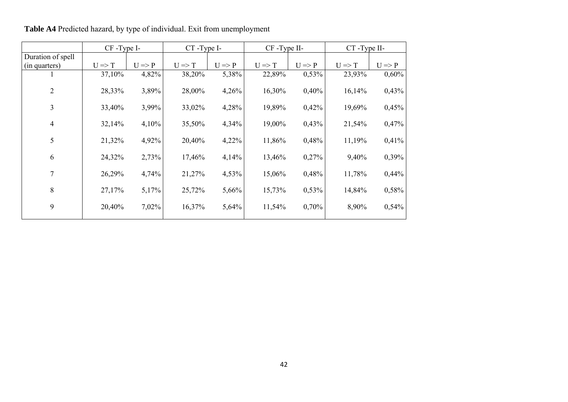|                                    | CF-Type I-        |                   | CT-Type I-        |                   | CF-Type II-       |                   | CT-Type II-       |                   |
|------------------------------------|-------------------|-------------------|-------------------|-------------------|-------------------|-------------------|-------------------|-------------------|
| Duration of spell<br>(in quarters) | $U \Rightarrow T$ | $U \Rightarrow P$ | $U \Rightarrow T$ | $U \Rightarrow P$ | $U \Rightarrow T$ | $U \Rightarrow P$ | $U \Rightarrow T$ | $U \Rightarrow P$ |
|                                    | 37,10%            | 4,82%             | 38,20%            | 5,38%             | 22,89%            | 0,53%             | 23,93%            | 0,60%             |
| $\overline{2}$                     | 28,33%            | 3,89%             | 28,00%            | 4,26%             | 16,30%            | 0,40%             | 16,14%            | 0,43%             |
| 3                                  | 33,40%            | 3,99%             | 33,02%            | 4,28%             | 19,89%            | 0,42%             | 19,69%            | 0,45%             |
| $\overline{4}$                     | 32,14%            | 4,10%             | 35,50%            | 4,34%             | 19,00%            | 0,43%             | 21,54%            | 0,47%             |
| 5                                  | 21,32%            | 4,92%             | 20,40%            | 4,22%             | 11,86%            | 0,48%             | 11,19%            | 0,41%             |
| 6                                  | 24,32%            | 2,73%             | 17,46%            | 4,14%             | 13,46%            | 0,27%             | 9,40%             | 0,39%             |
| 7                                  | 26,29%            | 4,74%             | 21,27%            | 4,53%             | 15,06%            | 0,48%             | 11,78%            | 0,44%             |
| 8                                  | 27,17%            | 5,17%             | 25,72%            | 5,66%             | 15,73%            | 0,53%             | 14,84%            | 0,58%             |
| 9                                  | 20,40%            | 7,02%             | 16,37%            | 5,64%             | 11,54%            | 0,70%             | 8,90%             | 0,54%             |

**Table A4** Predicted hazard, by type of individual. Exit from unemployment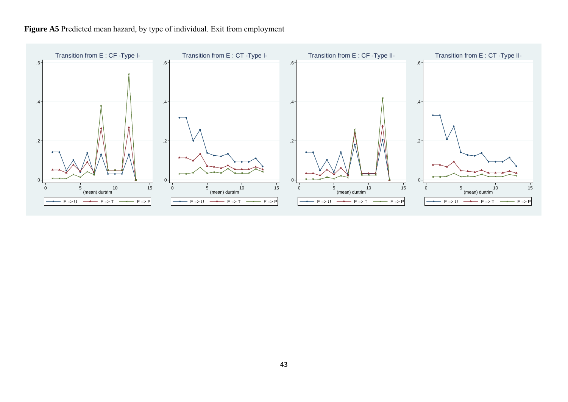

# Figure A5<sup>Predicted mean hazard, by type of individual. Exit from employment</sup>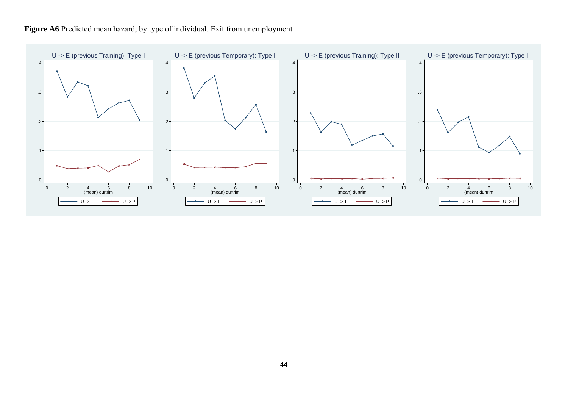

# Figure A6<sup> Predicted mean hazard, by type of individual. Exit from unemployment</sup>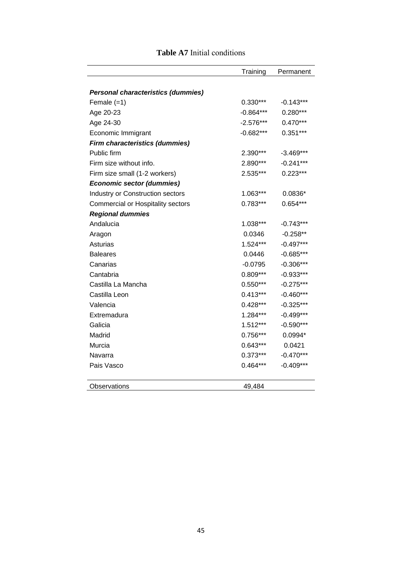|                                           | Training    | Permanent   |
|-------------------------------------------|-------------|-------------|
| <b>Personal characteristics (dummies)</b> |             |             |
| Female (=1)                               | $0.330***$  | $-0.143***$ |
| Age 20-23                                 | $-0.864***$ | $0.280***$  |
| Age 24-30                                 | $-2.576***$ | $0.470***$  |
| Economic Immigrant                        | $-0.682***$ | $0.351***$  |
| <b>Firm characteristics (dummies)</b>     |             |             |
| Public firm                               | 2.390***    | $-3.469***$ |
| Firm size without info.                   | 2.890***    | $-0.241***$ |
| Firm size small (1-2 workers)             | 2.535***    | $0.223***$  |
| <b>Economic sector (dummies)</b>          |             |             |
| Industry or Construction sectors          | 1.063***    | $0.0836*$   |
| <b>Commercial or Hospitality sectors</b>  | $0.783***$  | $0.654***$  |
| <b>Regional dummies</b>                   |             |             |
| Andalucia                                 | 1.038***    | $-0.743***$ |
| Aragon                                    | 0.0346      | $-0.258**$  |
| Asturias                                  | $1.524***$  | $-0.497***$ |
| <b>Baleares</b>                           | 0.0446      | $-0.685***$ |
| Canarias                                  | $-0.0795$   | $-0.306***$ |
| Cantabria                                 | $0.809***$  | $-0.933***$ |
| Castilla La Mancha                        | $0.550***$  | $-0.275***$ |
| Castilla Leon                             | $0.413***$  | $-0.460***$ |
| Valencia                                  | $0.428***$  | $-0.325***$ |
| Extremadura                               | 1.284***    | $-0.499***$ |
| Galicia                                   | 1.512***    | $-0.590***$ |
| Madrid                                    | 0.756***    | 0.0994*     |
| Murcia                                    | $0.643***$  | 0.0421      |
| Navarra                                   | $0.373***$  | $-0.470***$ |
| Pais Vasco                                | $0.464***$  | $-0.409***$ |
| Observations                              | 49,484      |             |

# **Table A7** Initial conditions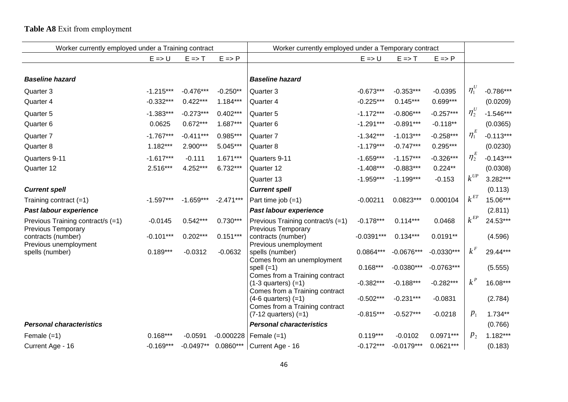# **Table A8** Exit from employment

| Worker currently employed under a Training contract |                   |                   | Worker currently employed under a Temporary contract |                                                            |                   |                   |                   |                |             |
|-----------------------------------------------------|-------------------|-------------------|------------------------------------------------------|------------------------------------------------------------|-------------------|-------------------|-------------------|----------------|-------------|
|                                                     | $E \Rightarrow U$ | $E \Rightarrow T$ | $E \Rightarrow P$                                    |                                                            | $E \Rightarrow U$ | $E \Rightarrow T$ | $E \Rightarrow P$ |                |             |
|                                                     |                   |                   |                                                      |                                                            |                   |                   |                   |                |             |
| <b>Baseline hazard</b>                              |                   |                   |                                                      | <b>Baseline hazard</b>                                     |                   |                   |                   |                |             |
| Quarter 3                                           | $-1.215***$       | $-0.476***$       | $-0.250**$                                           | Quarter 3                                                  | $-0.673***$       | $-0.353***$       | $-0.0395$         | $\eta_1^U$     | $-0.786***$ |
| Quarter 4                                           | $-0.332***$       | $0.422***$        | $1.184***$                                           | Quarter 4                                                  | $-0.225***$       | $0.145***$        | $0.699***$        |                | (0.0209)    |
| Quarter <sub>5</sub>                                | $-1.383***$       | $-0.273***$       | $0.402***$                                           | Quarter 5                                                  | $-1.172***$       | $-0.806***$       | $-0.257***$       | $\eta_2^U$     | $-1.546***$ |
| Quarter 6                                           | 0.0625            | $0.672***$        | 1.687***                                             | Quarter 6                                                  | $-1.291***$       | $-0.891***$       | $-0.118**$        |                | (0.0365)    |
| Quarter 7                                           | $-1.767***$       | $-0.411***$       | 0.985***                                             | Quarter 7                                                  | $-1.342***$       | $-1.013***$       | $-0.258***$       | $\eta_1^E$     | $-0.113***$ |
| Quarter 8                                           | $1.182***$        | 2.900***          | 5.045***                                             | Quarter 8                                                  | $-1.179***$       | $-0.747***$       | $0.295***$        |                | (0.0230)    |
| Quarters 9-11                                       | $-1.617***$       | $-0.111$          | $1.671***$                                           | Quarters 9-11                                              | $-1.659***$       | $-1.157***$       | $-0.326***$       | $\eta^E_2$     | $-0.143***$ |
| Quarter 12                                          | 2.516***          | 4.252***          | 6.732***                                             | Quarter 12                                                 | $-1.408***$       | $-0.883***$       | $0.224**$         |                | (0.0308)    |
|                                                     |                   |                   |                                                      | Quarter 13                                                 | $-1.959***$       | $-1.199***$       | $-0.153$          | $k^{UP}$       | 3.282***    |
| <b>Current spell</b>                                |                   |                   |                                                      | <b>Current spell</b>                                       |                   |                   |                   |                | (0.113)     |
| Training contract $(=1)$                            | $-1.597***$       | $-1.659***$       | $-2.471***$                                          | Part time job $(=1)$                                       | $-0.00211$        | $0.0823***$       | 0.000104          | $k^{ET}$       | 15.06***    |
| Past labour experience                              |                   |                   |                                                      | Past labour experience                                     |                   |                   |                   |                | (2.811)     |
| Previous Training contract/s (=1)                   | $-0.0145$         | $0.542***$        | $0.730***$                                           | Previous Training contract/s (=1)                          | $-0.178***$       | $0.114***$        | 0.0468            | $k^{EP}$       | 24.53***    |
| <b>Previous Temporary</b><br>contracts (number)     | $-0.101***$       | $0.202***$        | $0.151***$                                           | <b>Previous Temporary</b><br>contracts (number)            | $-0.0391***$      | $0.134***$        | $0.0191**$        |                | (4.596)     |
| Previous unemployment<br>spells (number)            | $0.189***$        | $-0.0312$         | $-0.0632$                                            | Previous unemployment<br>spells (number)                   | $0.0864***$       | $-0.0676***$      | $-0.0330***$      | $k^F$          | 29.44***    |
|                                                     |                   |                   |                                                      | Comes from an unemployment<br>spell $(=1)$                 | $0.168***$        | $-0.0380***$      | $-0.0763***$      |                | (5.555)     |
|                                                     |                   |                   |                                                      | Comes from a Training contract                             |                   |                   |                   |                |             |
|                                                     |                   |                   |                                                      | $(1-3$ quarters) $(=1)$<br>Comes from a Training contract  | $-0.382***$       | $-0.188***$       | $-0.282***$       | $k^P$          | 16.08***    |
|                                                     |                   |                   |                                                      | $(4-6$ quarters) $(=1)$                                    | $-0.502***$       | $-0.231***$       | $-0.0831$         |                | (2.784)     |
|                                                     |                   |                   |                                                      | Comes from a Training contract<br>$(7-12$ quarters) $(=1)$ | $-0.815***$       | $-0.527***$       | $-0.0218$         | $p_1$          | $1.734**$   |
| <b>Personal characteristics</b>                     |                   |                   |                                                      | <b>Personal characteristics</b>                            |                   |                   |                   |                | (0.766)     |
| Female $(=1)$                                       | $0.168***$        | $-0.0591$         | $-0.000228$                                          | Female $(=1)$                                              | $0.119***$        | $-0.0102$         | $0.0971***$       | p <sub>2</sub> | $1.182***$  |
| Current Age - 16                                    | $-0.169***$       | $-0.0497**$       | $0.0860***$                                          | Current Age - 16                                           | $-0.172***$       | $-0.0179***$      | $0.0621***$       |                | (0.183)     |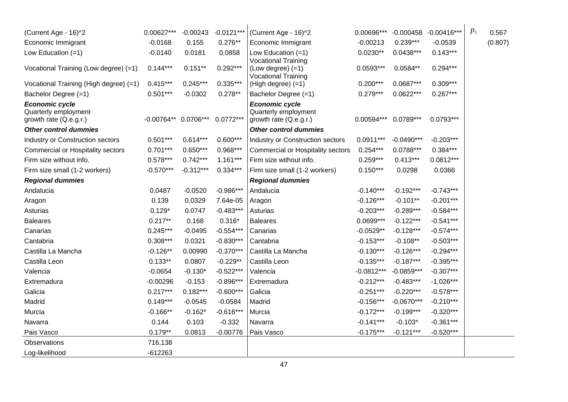| (Current Age - 16)^2                                                    | 0.00627***             | $-0.00243$  | $-0.0121***$ | (Current Age - 16)^2                                                            | 0.00696***   | $-0.000458$  | $-0.00416***$ | $p_3$ | 0.567   |
|-------------------------------------------------------------------------|------------------------|-------------|--------------|---------------------------------------------------------------------------------|--------------|--------------|---------------|-------|---------|
| Economic Immigrant                                                      | $-0.0168$              | 0.155       | $0.276**$    | Economic Immigrant                                                              | $-0.00213$   | $0.239***$   | $-0.0539$     |       | (0.807) |
| Low Education $(=1)$                                                    | $-0.0140$              | 0.0181      | 0.0858       | Low Education $(=1)$                                                            | $0.0230**$   | $0.0438***$  | $0.143***$    |       |         |
| Vocational Training (Low degree) (=1)                                   | $0.144***$             | $0.151**$   | $0.292***$   | <b>Vocational Training</b><br>$(Low degree) (=1)$<br><b>Vocational Training</b> | $0.0593***$  | $0.0584**$   | $0.294***$    |       |         |
| Vocational Training (High degree) (=1)                                  | $0.415***$             | $0.245***$  | $0.335***$   | (High degree) (=1)                                                              | $0.200***$   | $0.0687***$  | $0.309***$    |       |         |
| Bachelor Degree (=1)                                                    | $0.501***$             | $-0.0302$   | $0.278**$    | Bachelor Degree (=1)                                                            | $0.279***$   | $0.0622***$  | $0.267***$    |       |         |
| <b>Economic cycle</b><br>Quarterly employment<br>growth rate (Q.e.g.r.) | $-0.00764**$ 0.0706*** |             | $0.0772***$  | <b>Economic cycle</b><br>Quarterly employment<br>growth rate (Q.e.g.r.)         | 0.00594***   | $0.0789***$  | $0.0793***$   |       |         |
| <b>Other control dummies</b>                                            |                        |             |              | <b>Other control dummies</b>                                                    |              |              |               |       |         |
| Industry or Construction sectors                                        | $0.501***$             | $0.614***$  | $0.600***$   | Industry or Construction sectors                                                | $0.0911***$  | $-0.0490***$ | $-0.203***$   |       |         |
| Commercial or Hospitality sectors                                       | $0.701***$             | $0.650***$  | $0.968***$   | <b>Commercial or Hospitality sectors</b>                                        | $0.254***$   | $0.0788***$  | $0.384***$    |       |         |
| Firm size without info.                                                 | $0.578***$             | $0.742***$  | $1.161***$   | Firm size without info.                                                         | $0.259***$   | $0.413***$   | $0.0812***$   |       |         |
| Firm size small (1-2 workers)                                           | $-0.570***$            | $-0.312***$ | $0.334***$   | Firm size small (1-2 workers)                                                   | $0.150***$   | 0.0298       | 0.0366        |       |         |
| <b>Regional dummies</b>                                                 |                        |             |              | <b>Regional dummies</b>                                                         |              |              |               |       |         |
| Andalucia                                                               | 0.0487                 | $-0.0520$   | $-0.986***$  | Andalucia                                                                       | $-0.140***$  | $-0.192***$  | $-0.743***$   |       |         |
| Aragon                                                                  | 0.139                  | 0.0329      | 7.64e-05     | Aragon                                                                          | $-0.126***$  | $-0.101**$   | $-0.201***$   |       |         |
| Asturias                                                                | $0.129*$               | 0.0747      | $-0.483***$  | Asturias                                                                        | $-0.203***$  | $-0.289***$  | $-0.584***$   |       |         |
| <b>Baleares</b>                                                         | $0.217**$              | 0.168       | $0.316*$     | <b>Baleares</b>                                                                 | $0.0699***$  | $-0.122***$  | $-0.541***$   |       |         |
| Canarias                                                                | $0.245***$             | $-0.0495$   | $-0.554***$  | Canarias                                                                        | $-0.0529**$  | $-0.128***$  | $-0.574***$   |       |         |
| Cantabria                                                               | $0.308***$             | 0.0321      | $-0.830***$  | Cantabria                                                                       | $-0.153***$  | $-0.108**$   | $-0.503***$   |       |         |
| Castilla La Mancha                                                      | $-0.126**$             | 0.00990     | $-0.370***$  | Castilla La Mancha                                                              | $-0.130***$  | $-0.126***$  | $-0.294***$   |       |         |
| Castilla Leon                                                           | $0.133**$              | 0.0807      | $-0.229**$   | Castilla Leon                                                                   | $-0.135***$  | $-0.187***$  | $-0.395***$   |       |         |
| Valencia                                                                | $-0.0654$              | $-0.130*$   | $-0.522***$  | Valencia                                                                        | $-0.0812***$ | $-0.0859***$ | $-0.307***$   |       |         |
| Extremadura                                                             | $-0.00296$             | $-0.153$    | $-0.896***$  | Extremadura                                                                     | $-0.212***$  | $-0.483***$  | $-1.026***$   |       |         |
| Galicia                                                                 | $0.217***$             | $0.182***$  | $-0.600***$  | Galicia                                                                         | $-0.251***$  | $-0.220***$  | $-0.578***$   |       |         |
| Madrid                                                                  | $0.149***$             | $-0.0545$   | $-0.0584$    | Madrid                                                                          | $-0.156***$  | $-0.0670***$ | $-0.210***$   |       |         |
| Murcia                                                                  | $-0.166**$             | $-0.162*$   | $-0.616***$  | Murcia                                                                          | $-0.172***$  | $-0.199***$  | $-0.320***$   |       |         |
| Navarra                                                                 | 0.144                  | 0.103       | $-0.332$     | Navarra                                                                         | $-0.141***$  | $-0.103*$    | $-0.361***$   |       |         |
| Pais Vasco                                                              | $0.179**$              | 0.0813      | $-0.00776$   | Pais Vasco                                                                      | $-0.175***$  | $-0.121***$  | $-0.520***$   |       |         |
| Observations                                                            | 716,138                |             |              |                                                                                 |              |              |               |       |         |
| Log-likelihood                                                          | $-612263$              |             |              |                                                                                 |              |              |               |       |         |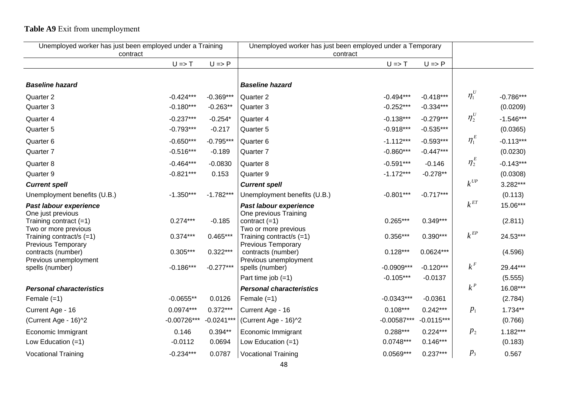# **Table A9** Exit from unemployment

| Unemployed worker has just been employed under a Training<br>contract |                   | Unemployed worker has just been employed under a Temporary<br>contract |                                                       |                             |                          |                                       |                     |
|-----------------------------------------------------------------------|-------------------|------------------------------------------------------------------------|-------------------------------------------------------|-----------------------------|--------------------------|---------------------------------------|---------------------|
|                                                                       | $U \Rightarrow T$ | $U \Rightarrow P$                                                      |                                                       | $U \Rightarrow T$           | $U \Rightarrow P$        |                                       |                     |
|                                                                       |                   |                                                                        |                                                       |                             |                          |                                       |                     |
| <b>Baseline hazard</b>                                                |                   |                                                                        | <b>Baseline hazard</b>                                |                             |                          |                                       |                     |
| Quarter 2                                                             | $-0.424***$       | $-0.369***$                                                            | Quarter 2                                             | $-0.494***$                 | $-0.418***$              | $\eta_1^U$                            | $-0.786***$         |
| Quarter 3                                                             | $-0.180***$       | $-0.263**$                                                             | Quarter 3                                             | $-0.252***$                 | $-0.334***$              |                                       | (0.0209)            |
| Quarter 4                                                             | $-0.237***$       | $-0.254*$                                                              | Quarter 4                                             | $-0.138***$                 | $-0.279***$              | $\eta^{\scriptscriptstyle U}_2$       | $-1.546***$         |
| Quarter 5                                                             | $-0.793***$       | $-0.217$                                                               | Quarter 5                                             | $-0.918***$                 | $-0.535***$              |                                       | (0.0365)            |
| Quarter 6                                                             | $-0.650***$       | $-0.795***$                                                            | Quarter 6                                             | $-1.112***$                 | $-0.593***$              | $\eta_1^E$                            | $-0.113***$         |
| Quarter 7                                                             | $-0.516***$       | $-0.189$                                                               | Quarter 7                                             | $-0.860***$                 | $-0.447***$              |                                       | (0.0230)            |
| Quarter 8                                                             | $-0.464***$       | $-0.0830$                                                              | Quarter 8                                             | $-0.591***$                 | $-0.146$                 | $\eta^{\scriptscriptstyle E}_2$       | $-0.143***$         |
| Quarter 9                                                             | $-0.821***$       | 0.153                                                                  | Quarter 9                                             | $-1.172***$                 | $-0.278**$               |                                       | (0.0308)            |
| <b>Current spell</b>                                                  |                   |                                                                        | <b>Current spell</b>                                  |                             |                          | $k^{\mathrm{\scriptscriptstyle{UP}}}$ | 3.282***            |
| Unemployment benefits (U.B.)                                          | $-1.350***$       | $-1.782***$                                                            | Unemployment benefits (U.B.)                          | $-0.801***$                 | $-0.717***$              |                                       | (0.113)             |
| Past labour experience                                                |                   |                                                                        | Past labour experience                                |                             |                          | $k^{\emph{ET}}$                       | 15.06***            |
| One just previous<br>Training contract $(=1)$                         | $0.274***$        | $-0.185$                                                               | One previous Training<br>contract $(=1)$              | $0.265***$                  | $0.349***$               |                                       | (2.811)             |
| Two or more previous                                                  |                   |                                                                        | Two or more previous                                  |                             |                          |                                       |                     |
| Training contract/s $(=1)$<br><b>Previous Temporary</b>               | $0.374***$        | $0.465***$                                                             | Training contract/s (=1)<br><b>Previous Temporary</b> | $0.356***$                  | $0.390***$               | $k^{\textit{EP}}$                     | 24.53***            |
| contracts (number)                                                    | $0.305***$        | $0.322***$                                                             | contracts (number)                                    | $0.128***$                  | $0.0624***$              |                                       | (4.596)             |
| Previous unemployment                                                 |                   |                                                                        | Previous unemployment                                 |                             |                          | $k^F$                                 |                     |
| spells (number)                                                       | $-0.186***$       | $-0.277***$                                                            | spells (number)<br>Part time job $(=1)$               | $-0.0909***$<br>$-0.105***$ | $-0.120***$<br>$-0.0137$ |                                       | 29.44***<br>(5.555) |
| <b>Personal characteristics</b>                                       |                   |                                                                        | <b>Personal characteristics</b>                       |                             |                          | $k^P$                                 | 16.08***            |
| Female $(=1)$                                                         | $-0.0655**$       | 0.0126                                                                 | Female $(=1)$                                         | $-0.0343***$                | $-0.0361$                |                                       | (2.784)             |
| Current Age - 16                                                      | $0.0974***$       | $0.372***$                                                             | Current Age - 16                                      | $0.108***$                  | $0.242***$               | $p_{1}$                               | $1.734**$           |
| (Current Age - 16)^2                                                  | $-0.00726***$     | $-0.0241***$                                                           | (Current Age - 16)^2                                  | $-0.00587***$               | $-0.0115***$             |                                       | (0.766)             |
| Economic Immigrant                                                    | 0.146             | $0.394**$                                                              | Economic Immigrant                                    | $0.288***$                  | $0.224***$               | $p_{2}$                               | $1.182***$          |
| Low Education $(=1)$                                                  | $-0.0112$         | 0.0694                                                                 | Low Education $(=1)$                                  | $0.0748***$                 | $0.146***$               |                                       | (0.183)             |
| <b>Vocational Training</b>                                            | $-0.234***$       | 0.0787                                                                 | <b>Vocational Training</b>                            | $0.0569***$                 | $0.237***$               | $p_{3}$                               | 0.567               |
|                                                                       |                   |                                                                        |                                                       |                             |                          |                                       |                     |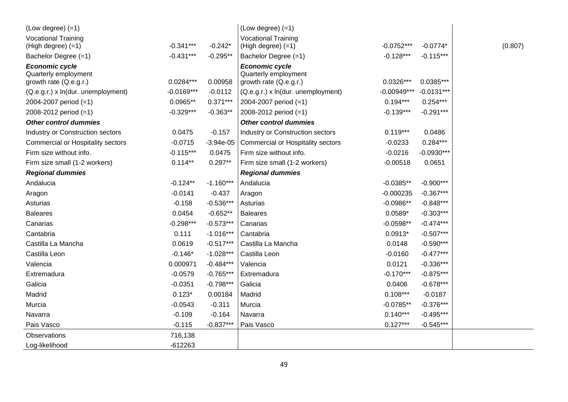| $(Low degree) (=1)$                                                     |              |             | $(Low degree) (=1)$                                                     |               |              |         |
|-------------------------------------------------------------------------|--------------|-------------|-------------------------------------------------------------------------|---------------|--------------|---------|
| <b>Vocational Training</b><br>(High degree) (=1)                        | $-0.341***$  | $-0.242*$   | <b>Vocational Training</b><br>(High degree) (=1)                        | $-0.0752***$  | $-0.0774*$   | (0.807) |
| Bachelor Degree (=1)                                                    | $-0.431***$  | $-0.295**$  | Bachelor Degree (=1)                                                    | $-0.128***$   | $-0.115***$  |         |
| <b>Economic cycle</b><br>Quarterly employment<br>growth rate (Q.e.g.r.) | $0.0284***$  | 0.00958     | <b>Economic cycle</b><br>Quarterly employment<br>growth rate (Q.e.g.r.) | $0.0326***$   | $0.0385***$  |         |
| (Q.e.g.r.) x ln(dur. unemployment)                                      | $-0.0169***$ | $-0.0112$   | (Q.e.g.r.) x ln(dur. unemployment)                                      | $-0.00949***$ | $-0.0131***$ |         |
| 2004-2007 period (=1)                                                   | $0.0965**$   | $0.371***$  | 2004-2007 period (=1)                                                   | $0.194***$    | $0.254***$   |         |
| 2008-2012 period (=1)                                                   | $-0.329***$  | $-0.363**$  | 2008-2012 period (=1)                                                   | $-0.139***$   | $-0.291***$  |         |
| <b>Other control dummies</b>                                            |              |             | <b>Other control dummies</b>                                            |               |              |         |
| Industry or Construction sectors                                        | 0.0475       | $-0.157$    | Industry or Construction sectors                                        | $0.119***$    | 0.0486       |         |
| Commercial or Hospitality sectors                                       | $-0.0715$    | $-3.94e-05$ | <b>Commercial or Hospitality sectors</b>                                | $-0.0233$     | $0.284***$   |         |
| Firm size without info.                                                 | $-0.115***$  | 0.0475      | Firm size without info.                                                 | $-0.0216$     | $-0.0930***$ |         |
| Firm size small (1-2 workers)                                           | $0.114**$    | $0.297**$   | Firm size small (1-2 workers)                                           | $-0.00518$    | 0.0651       |         |
| <b>Regional dummies</b>                                                 |              |             | <b>Regional dummies</b>                                                 |               |              |         |
| Andalucia                                                               | $-0.124**$   | $-1.160***$ | Andalucia                                                               | $-0.0385**$   | $-0.900***$  |         |
| Aragon                                                                  | $-0.0141$    | $-0.437$    | Aragon                                                                  | $-0.000235$   | $-0.367***$  |         |
| Asturias                                                                | $-0.158$     | $-0.536***$ | Asturias                                                                | $-0.0986**$   | $-0.848***$  |         |
| <b>Baleares</b>                                                         | 0.0454       | $-0.652**$  | <b>Baleares</b>                                                         | $0.0589*$     | $-0.303***$  |         |
| Canarias                                                                | $-0.298***$  | $-0.573***$ | Canarias                                                                | $-0.0598**$   | $-0.474***$  |         |
| Cantabria                                                               | 0.111        | $-1.016***$ | Cantabria                                                               | $0.0913*$     | $-0.507***$  |         |
| Castilla La Mancha                                                      | 0.0619       | $-0.517***$ | Castilla La Mancha                                                      | 0.0148        | $-0.590***$  |         |
| Castilla Leon                                                           | $-0.146*$    | $-1.028***$ | Castilla Leon                                                           | $-0.0160$     | $-0.477***$  |         |
| Valencia                                                                | 0.000971     | $-0.484***$ | Valencia                                                                | 0.0121        | $-0.336***$  |         |
| Extremadura                                                             | $-0.0579$    | $-0.765***$ | Extremadura                                                             | $-0.170***$   | $-0.875***$  |         |
| Galicia                                                                 | $-0.0351$    | $-0.798***$ | Galicia                                                                 | 0.0406        | $-0.678***$  |         |
| Madrid                                                                  | $0.123*$     | 0.00184     | Madrid                                                                  | $0.108***$    | $-0.0187$    |         |
| Murcia                                                                  | $-0.0543$    | $-0.311$    | Murcia                                                                  | $-0.0785**$   | $-0.376***$  |         |
| Navarra                                                                 | $-0.109$     | $-0.164$    | Navarra                                                                 | $0.140***$    | $-0.495***$  |         |
| Pais Vasco                                                              | $-0.115$     | $-0.837***$ | Pais Vasco                                                              | $0.127***$    | $-0.545***$  |         |
| Observations                                                            | 716,138      |             |                                                                         |               |              |         |
| Log-likelihood                                                          | $-612263$    |             |                                                                         |               |              |         |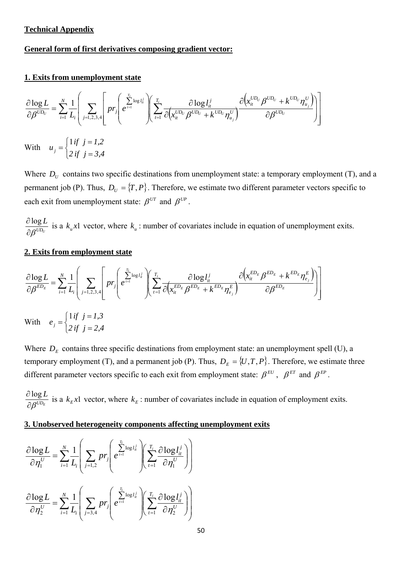# **Technical Appendix**

# **General form of first derivatives composing gradient vector:**

# **1. Exits from unemployment state**

$$
\frac{\partial \log L}{\partial \beta^{UD_U}} = \sum_{i=1}^{N} \frac{1}{L_i} \left( \sum_{j=1,2,3,4} \left[ pr_j \left( \frac{\sum_{i=1}^{T_i} \log l_i^j}{e^{t-1}} \right) \left( \sum_{i=1}^{T_i} \frac{\partial \log l_i^j}{\partial (x_i^{UD_U} \beta^{UD_U} + k^{UD_U} \eta_{u_j}^U)} \frac{\partial (x_i^{UD_U} \beta^{UD_U} + k^{UD_U} \eta_{u_j}^U)}{\partial \beta^{UD_U}} \right) \right] \right)
$$
  
With  $u_j = \begin{cases} 1 \text{ if } j = 1,2 \\ 2 \text{ if } j = 3,4 \end{cases}$ 

Where  $D_U$  contains two specific destinations from unemployment state: a temporary employment (T), and a permanent job (P). Thus,  $D_U = \{T, P\}$ . Therefore, we estimate two different parameter vectors specific to each exit from unemployment state:  $\beta^{UT}$  and  $\beta^{UP}$ .

*UDU L*  $\frac{\partial \log L}{\partial \beta^{UD_U}}$  is a  $k_u x$  vector, where  $k_u$ : number of covariates include in equation of unemployment exits.

# **2. Exits from employment state**

 $\overline{\mathcal{L}}$ 

$$
\frac{\partial \log L}{\partial \beta^{ED_E}} = \sum_{i=1}^{N} \frac{1}{L_i} \left( \sum_{j=1,2,3,4} \left[ pr_j \left( e^{\frac{\sum_{i=1}^{T_i} \log l_i^j}{2}} \right) \left( \sum_{t=1}^{T_i} \frac{\partial \log l_i^j}{\partial (x_{it}^{ED_E} \beta^{ED_E} + k^{ED_E} \eta_{e_j}^E)} \right) \frac{\partial (x_{it}^{ED_E} \beta^{ED_E} + k^{ED_E} \eta_{e_j}^E)}{\partial \beta^{ED_E}} \right) \right)
$$
\nWith  $e_j = \begin{cases} 1 \text{ if } j = 1,3 \\ 2 \text{ if } j = 2,4 \end{cases}$ 

Where  $D<sub>E</sub>$  contains three specific destinations from employment state: an unemployment spell (U), a temporary employment (T), and a permanent job (P). Thus,  $D_E = \{U, T, P\}$ . Therefore, we estimate three different parameter vectors specific to each exit from employment state:  $\beta^{EU}$ ,  $\beta^{ET}$  and  $\beta^{EP}$ .

 $UD_E$ *L*  $\frac{\partial \log L}{\partial \beta^{U D_E}}$  is a  $k_E x$ 1 vector, where  $k_E$ : number of covariates include in equation of employment exits.

### **3. Unobserved heterogeneity components affecting unemployment exits**

$$
\frac{\partial \log L}{\partial \eta_1^U} = \sum_{i=1}^N \frac{1}{L_i} \left( \sum_{j=1,2} p r_j \left( e^{\sum_{i=1}^{T_i} \log l_{ii}^j} \right) \left( \sum_{t=1}^{T_i} \frac{\partial \log l_{it}^j}{\partial \eta_1^U} \right) \right)
$$

$$
\frac{\partial \log L}{\partial \eta_2^U} = \sum_{i=1}^N \frac{1}{L_i} \left( \sum_{j=3,4} p r_j \left( e^{\sum_{i=1}^{T_i} \log l_{ii}^j} \right) \left( \sum_{t=1}^{T_i} \frac{\partial \log l_{it}^j}{\partial \eta_2^U} \right) \right)
$$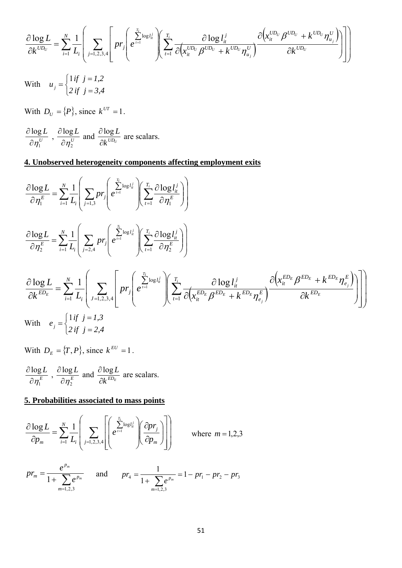$$
\frac{\partial \log L}{\partial k^{UD_U}} = \sum_{i=1}^N \frac{1}{L_i} \left( \sum_{j=1,2,3,4} \left[ pr_j \left( e^{\sum_{i=1}^{T_i} \log l_u^j} \right) \left( \sum_{t=1}^{T_i} \frac{\partial \log l_u^j}{\partial (x_{it}^{UD_U} \beta^{UD_U} + k^{UD_U} \eta_{u_j}^U)} \right) \left( \sum_{t=1}^{T_i} \frac{\partial (x_{it}^{UD_U} \beta^{UD_U} + k^{UD_U} \eta_{u_j}^U)}{\partial (x_{it}^{UD_U} + k^{UD_U} \eta_{u_j}^U)} \right) \right)
$$

With  $\overline{\mathcal{L}}$ ┤  $\left($  $=\begin{cases} 1 \text{ if } j = 1,2 \\ 2 \text{ if } j = 3,4 \end{cases}$  $u_j$ 1

With  $D_U = \{P\}$ , since  $k^{UT} = 1$ .

*U L* 1 log  $\frac{\partial \log L}{\partial \eta_1^U}$  ,  $\frac{\partial \log L}{\partial \eta_2^U}$ 2 log  $\frac{\partial \log L}{\partial \eta_2^U}$  and  $\frac{\partial \log L}{\partial k^{UD_U}}$  $\partial$  $\frac{\partial \log L}{\partial L}$  are scalars.

# **4. Unobserved heterogeneity components affecting employment exits**

$$
\frac{\partial \log L}{\partial \eta_{i}^{E}} = \sum_{i=1}^{N} \frac{1}{L_{i}} \left( \sum_{j=1,3} p r_{j} \left( e^{\frac{T_{i}}{l}} \log l_{i}^{j} \right) \left( \sum_{t=1}^{T_{i}} \frac{\partial \log l_{i}^{j}}{\partial \eta_{i}^{E}} \right) \right)
$$
\n
$$
\frac{\partial \log L}{\partial \eta_{2}^{E}} = \sum_{i=1}^{N} \frac{1}{L_{i}} \left( \sum_{j=2,4} p r_{j} \left( e^{\frac{T_{i}}{l}} \log l_{i}^{j} \right) \left( \sum_{t=1}^{T_{i}} \frac{\partial \log l_{i}^{j}}{\partial \eta_{2}^{E}} \right) \right)
$$
\n
$$
\frac{\partial \log L}{\partial k^{ED_{E}}} = \sum_{i=1}^{N} \frac{1}{L_{i}} \left( \sum_{j=1,2,3,4} p r_{j} \left( e^{\frac{T_{i}}{l}} \log l_{i}^{j} \right) \left( \sum_{t=1}^{T_{i}} \frac{\partial \log l_{i}^{j}}{\partial \left( \sum_{t=1}^{E_{D_{E}}} \frac{\partial \log l_{i}^{j}}{\partial \left( \sum_{t=1}^{E_{D_{E}}} \frac{\partial \log l_{i}^{j}}{\partial \left( \sum_{t=1}^{E_{D_{E}}} \frac{\partial \log l_{i}^{j}}{\partial \left( \sum_{t=1}^{E_{D_{E}}} \frac{\partial \log l_{i}^{j}}{\partial \left( \sum_{t=1}^{E} \frac{\partial \log l_{i}^{j}}{\partial \left( \sum_{t=1}^{E} \frac{\partial \log l_{i}^{j}}{\partial \left( \sum_{t=1}^{E} \frac{\partial \log l_{i}^{j}}{\partial \left( \sum_{t=1}^{E} \frac{\partial \log l_{i}^{j}}{\partial \left( \sum_{t=1}^{E} \frac{\partial \log l_{i}^{j}}{\partial \left( \sum_{t=1}^{E} \frac{\partial \log l_{i}^{j}}{\partial \left( \sum_{t=1}^{E} \frac{\partial \log l_{i}^{j}}{\partial \left( \sum_{t=1}^{E} \frac{\partial \log l_{i}^{j}}{\partial \left( \sum_{t=1}^{E} \frac{\partial \log l_{i}^{j}}{\partial \
$$

With  $D_E = \{T, P\}$ , since  $k^{EU} = 1$ .

*E L* 1 log  $\frac{\partial \log L}{\partial \eta^E_1}$  ,  $\frac{\partial \log L}{\partial \eta^E_2}$ 2 log  $\frac{\partial \log L}{\partial \eta_2^E}$  and  $\frac{\partial \log L}{\partial k^{ED_E}}$  $\partial$  $\frac{\partial \log L}{\partial \vec{r}^D}$  are scalars.

## **5. Probabilities associated to mass points**

$$
\frac{\partial \log L}{\partial p_m} = \sum_{i=1}^{N} \frac{1}{L_i} \left( \sum_{j=1,2,3,4} \left[ \left( e^{\sum_{i=1}^{T_i} \log l_n^j} \right) \left( \frac{\partial p r_j}{\partial p_m} \right) \right] \right)
$$
 where  $m = 1,2,3$ 

$$
pr_m = \frac{e^{p_m}}{1 + \sum_{m=1,2,3} e^{p_m}} \quad \text{and} \quad pr_4 = \frac{1}{1 + \sum_{m=1,2,3} e^{p_m}} = 1 - pr_1 - pr_2 - pr_3
$$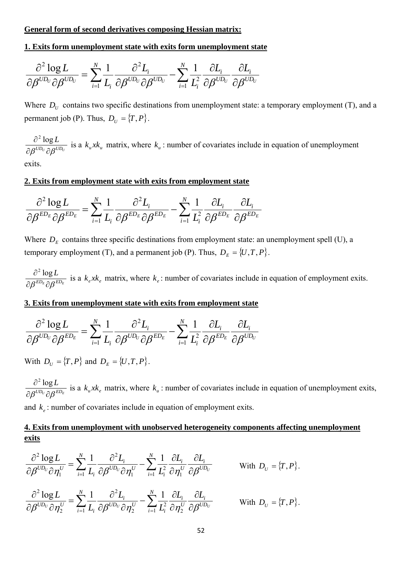## **General form of second derivatives composing Hessian matrix:**

# **1. Exits form unemployment state with exits form unemployment state**

$$
\frac{\partial^2 \log L}{\partial \beta^{UD_U} \partial \beta^{UD_U}} = \sum_{i=1}^N \frac{1}{L_i} \frac{\partial^2 L_i}{\partial \beta^{UD_U} \partial \beta^{UD_U}} - \sum_{i=1}^N \frac{1}{L_i^2} \frac{\partial L_i}{\partial \beta^{UD_U}} \frac{\partial L_i}{\partial \beta^{UD_U}}
$$

Where  $D_U$  contains two specific destinations from unemployment state: a temporary employment (T), and a permanent job (P). Thus,  $D_U = \{T, P\}$ .

 $U D_U \cap R^{UD_U}$ *L*  $\partial \beta^{U\!D_U} \partial \beta$  $\partial^2$  log is a  $k<sub>u</sub> x k<sub>u</sub>$  matrix, where  $k<sub>u</sub>$ : number of covariates include in equation of unemployment

exits.

# **2. Exits from employment state with exits from employment state**

$$
\frac{\partial^2 \log L}{\partial \beta^{ED_E} \partial \beta^{ED_E}} = \sum_{i=1}^N \frac{1}{L_i} \frac{\partial^2 L_i}{\partial \beta^{ED_E} \partial \beta^{ED_E}} - \sum_{i=1}^N \frac{1}{L_i^2} \frac{\partial L_i}{\partial \beta^{ED_E}} \frac{\partial L_i}{\partial \beta^{ED_E}}
$$

Where  $D<sub>E</sub>$  contains three specific destinations from employment state: an unemployment spell (U), a temporary employment (T), and a permanent job (P). Thus,  $D_E = \{U, T, P\}$ .

 $^{ED_E}$   $^{CP_E}$ *L*  $\partial \beta^{ED_E} \partial \beta$  $\partial^2$  log is a  $k_e x k_e$  matrix, where  $k_e$ : number of covariates include in equation of employment exits.

# **3. Exits from unemployment state with exits from employment state**

$$
\frac{\partial^2 \log L}{\partial \beta^{UD_U} \partial \beta^{ED_E}} = \sum_{i=1}^N \frac{1}{L_i} \frac{\partial^2 L_i}{\partial \beta^{UD_U} \partial \beta^{ED_E}} - \sum_{i=1}^N \frac{1}{L_i^2} \frac{\partial L_i}{\partial \beta^{ED_E}} \frac{\partial L_i}{\partial \beta^{UD_U}}
$$

With  $D_U = \{T, P\}$  and  $D_E = \{U, T, P\}.$ 

 $U D_U \cap R^{ED_E}$ *L*  $\partial \beta^{U\!D_U} \partial \beta$  $\partial^2$  log is a  $k_{\mu}xk_{e}$  matrix, where  $k_{\mu}$ : number of covariates include in equation of unemployment exits,

and  $k_e$ : number of covariates include in equation of employment exits.

# **4. Exits from unemployment with unobserved heterogeneity components affecting unemployment exits**

$$
\frac{\partial^2 \log L}{\partial \beta^{UD_U} \partial \eta_1^U} = \sum_{i=1}^N \frac{1}{L_i} \frac{\partial^2 L_i}{\partial \beta^{UD_U} \partial \eta_1^U} - \sum_{i=1}^N \frac{1}{L_i^2} \frac{\partial L_i}{\partial \eta_1^U} \frac{\partial L_i}{\partial \beta^{UD_U}} \qquad \text{With } D_U = \{T, P\}.
$$

$$
\frac{\partial^2 \log L}{\partial \beta^{UD_U} \partial \eta_2^U} = \sum_{i=1}^N \frac{1}{L_i} \frac{\partial^2 L_i}{\partial \beta^{UD_U} \partial \eta_2^U} - \sum_{i=1}^N \frac{1}{L_i^2} \frac{\partial L_i}{\partial \eta_2^U} \frac{\partial L_i}{\partial \beta^{UD_U}} \qquad \text{With } D_U = \{T, P\}.
$$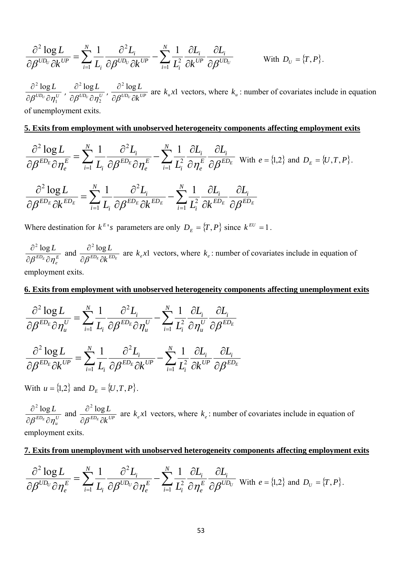$$
\frac{\partial^2 \log L}{\partial \beta^{UD_U} \partial k^{UP}} = \sum_{i=1}^N \frac{1}{L_i} \frac{\partial^2 L_i}{\partial \beta^{UD_U} \partial k^{UP}} - \sum_{i=1}^N \frac{1}{L_i^2} \frac{\partial L_i}{\partial k^{UP}} \frac{\partial L_i}{\partial \beta^{UD_U}} \qquad \text{With } D_U = \{T, P\}.
$$

 $U D_U \partial_{\mathbf{u}} U$ *L* 1  $2 log$  $\frac{\partial^2 \log L}{\partial \beta^{UD_U} \partial \eta_1^U}$  ,  $\frac{\partial^2 \log L}{\partial \beta^{UD_U} \partial \eta_2^U}$ 2  $2 log$  $\frac{\partial^2 \log L}{\partial \beta^{UD_U} \partial \eta^{U}_2}$  ,  $\frac{\partial^2 \log L}{\partial \beta^{UD_U} \partial k^{UP}}$  $\partial \beta^{UD_U} \partial$  $\partial$  $\beta$  $2 log$ are  $k<sub>u</sub> x1$  vectors, where  $k<sub>u</sub>$ : number of covariates include in equation of unemployment exits.

### **5. Exits from employment with unobserved heterogeneity components affecting employment exits**

$$
\frac{\partial^2 \log L}{\partial \beta^{ED_E} \partial \eta_e^E} = \sum_{i=1}^N \frac{1}{L_i} \frac{\partial^2 L_i}{\partial \beta^{ED_E} \partial \eta_e^E} - \sum_{i=1}^N \frac{1}{L_i^2} \frac{\partial L_i}{\partial \eta_e^E} \frac{\partial L_i}{\partial \beta^{ED_E}} \text{ with } e = \{1,2\} \text{ and } D_E = \{U,T,P\}.
$$

$$
\frac{\partial^2 \log L}{\partial \beta^{ED_E} \partial k^{ED_E}} = \sum_{i=1}^N \frac{1}{L_i} \frac{\partial^2 L_i}{\partial \beta^{ED_E} \partial k^{ED_E}} - \sum_{i=1}^N \frac{1}{L_i^2} \frac{\partial L_i}{\partial k^{ED_E}} \frac{\partial L_i}{\partial \beta^{ED_E}}
$$

Where destination for  $k^{E}$ 's parameters are only  $D_E = \{T, P\}$  since  $k^{EU} = 1$ .

*E*  $^{ED_E}\partial\eta^{\,\rm I}_e$ *L*  $\partial \beta^{ED_E} \partial \eta$  $\partial^2$  log and  $\frac{\partial^2 \log L}{\partial \beta^{ED_E} \partial k^{ED_E}}$  $\partial \beta^{ED_E} \partial$  $\widehat{o}$  $\beta$  $2 log$ are  $k_e x$  vectors, where  $k_e$ : number of covariates include in equation of employment exits.

### **6. Exits from employment with unobserved heterogeneity components affecting unemployment exits**

$$
\begin{split} \frac{\partial^{2} \log L}{\partial \beta^{ED_{E}} \partial \eta_{u}^{U}} & = \sum_{i=1}^{N} \frac{1}{L_{i}} \frac{\partial^{2} L_{i}}{\partial \beta^{ED_{E}} \partial \eta_{u}^{U}} - \sum_{i=1}^{N} \frac{1}{L_{i}^{2}} \frac{\partial L_{i}}{\partial \eta_{u}^{U}} \frac{\partial L_{i}}{\partial \beta^{ED_{E}}} \\ \frac{\partial^{2} \log L}{\partial \beta^{ED_{E}} \partial k^{UP}} & = \sum_{i=1}^{N} \frac{1}{L_{i}} \frac{\partial^{2} L_{i}}{\partial \beta^{ED_{E}} \partial k^{UP}} - \sum_{i=1}^{N} \frac{1}{L_{i}^{2}} \frac{\partial L_{i}}{\partial k^{UP}} \frac{\partial L_{i}}{\partial \beta^{ED_{E}}} \end{split}
$$

With  $u = \{1, 2\}$  and  $D_E = \{U, T, P\}$ .

*U*  $^{ED_E}\partial \eta_u^{\,l}$ *L*  $\partial \beta^{ED_E} \partial \eta$  $\partial^2$  log and  $\frac{\partial^2 \log L}{\partial \beta^{ED_E} \partial k^{UP}}$  $\partial \beta^{ED_E} \partial$  $\partial$  $\beta$  $^{2}$  log are  $k_e x$  vectors, where  $k_e$ : number of covariates include in equation of employment exits.

# **7. Exits from unemployment with unobserved heterogeneity components affecting employment exits**

$$
\frac{\partial^2 \log L}{\partial \beta^{UD_U} \partial \eta_e^E} = \sum_{i=1}^N \frac{1}{L_i} \frac{\partial^2 L_i}{\partial \beta^{UD_U} \partial \eta_e^E} - \sum_{i=1}^N \frac{1}{L_i^2} \frac{\partial L_i}{\partial \eta_e^E} \frac{\partial L_i}{\partial \beta^{UD_U}} \text{ with } e = \{1,2\} \text{ and } D_U = \{T, P\}.
$$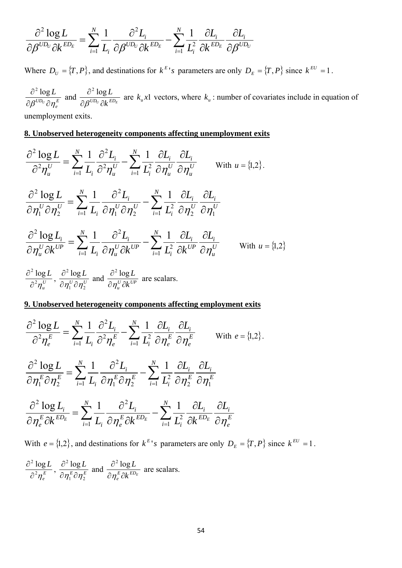$$
\frac{\partial^2 \log L}{\partial \beta^{UD_U} \partial k^{ED_E}} = \sum_{i=1}^N \frac{1}{L_i} \frac{\partial^2 L_i}{\partial \beta^{UD_U} \partial k^{ED_E}} - \sum_{i=1}^N \frac{1}{L_i^2} \frac{\partial L_i}{\partial k^{ED_E}} \frac{\partial L_i}{\partial \beta^{UD_U}}
$$

Where  $D_U = \{T, P\}$ , and destinations for  $k^E$ 's parameters are only  $D_E = \{T, P\}$  since  $k^{EU} = 1$ .

*E*  $^{UD_U}\partial\eta^{\,l}_e$ *L*  $\partial \beta^{U\!D_U} \partial \eta$  $\partial^2$  log and  $\frac{\partial^2 \log L}{\partial \beta^{UD_U} \partial k^{ED_E}}$  $\partial \beta^{U\!D_U} \partial$  $\partial$  $\beta$  $^{2}$  log are  $k<sub>u</sub> x1$  vectors, where  $k<sub>u</sub>$ : number of covariates include in equation of unemployment exits.

# **8. Unobserved heterogeneity components affecting unemployment exits**

$$
\frac{\partial^2 \log L}{\partial^2 \eta_u^U} = \sum_{i=1}^N \frac{1}{L_i} \frac{\partial^2 L_i}{\partial^2 \eta_u^U} - \sum_{i=1}^N \frac{1}{L_i^2} \frac{\partial L_i}{\partial \eta_u^U} \frac{\partial L_i}{\partial \eta_u^U}
$$
 With  $u = \{1, 2\}$ .  
\n
$$
\frac{\partial^2 \log L}{\partial \eta_1^U \partial \eta_2^U} = \sum_{i=1}^N \frac{1}{L_i} \frac{\partial^2 L_i}{\partial \eta_1^U \partial \eta_2^U} - \sum_{i=1}^N \frac{1}{L_i^2} \frac{\partial L_i}{\partial \eta_2^U} \frac{\partial L_i}{\partial \eta_1^U}
$$
  
\n
$$
\frac{\partial^2 \log L_i}{\partial \eta_u^U \partial k^{UP}} = \sum_{i=1}^N \frac{1}{L_i} \frac{\partial^2 L_i}{\partial \eta_u^U \partial k^{UP}} - \sum_{i=1}^N \frac{1}{L_i^2} \frac{\partial L_i}{\partial k^{UP}} \frac{\partial L_i}{\partial \eta_u^U}
$$
 With  $u = \{1, 2\}$   
\n
$$
\frac{\partial^2 \log L_i}{\partial^2 \eta_u^U}, \frac{\partial^2 \log L}{\partial \eta_u^U \partial \eta_2^U}
$$
 and 
$$
\frac{\partial^2 \log L}{\partial \eta_u^U \partial k^{UP}}
$$
 are scalars.

# **9. Unobserved heterogeneity components affecting employment exits**

$$
\frac{\partial^2 \log L}{\partial^2 \eta_e^E} = \sum_{i=1}^N \frac{1}{L_i} \frac{\partial^2 L_i}{\partial^2 \eta_e^E} - \sum_{i=1}^N \frac{1}{L_i^2} \frac{\partial L_i}{\partial \eta_e^E} \frac{\partial L_i}{\partial \eta_e^E}
$$
 with  $e = \{1, 2\}$ .  
\n
$$
\frac{\partial^2 \log L}{\partial \eta_1^E \partial \eta_2^E} = \sum_{i=1}^N \frac{1}{L_i} \frac{\partial^2 L_i}{\partial \eta_1^E \partial \eta_2^E} - \sum_{i=1}^N \frac{1}{L_i^2} \frac{\partial L_i}{\partial \eta_2^E} \frac{\partial L_i}{\partial \eta_1^E}
$$
\n
$$
\frac{\partial^2 \log L_i}{\partial \eta_e^E \partial k^{ED_E}} = \sum_{i=1}^N \frac{1}{L_i} \frac{\partial^2 L_i}{\partial \eta_e^E \partial k^{ED_E}} - \sum_{i=1}^N \frac{1}{L_i^2} \frac{\partial L_i}{\partial k^{ED_E}} \frac{\partial L_i}{\partial \eta_e^E}
$$

With  $e = \{1,2\}$ , and destinations for  $k^{E}$ 's parameters are only  $D_E = \{T, P\}$  since  $k^{EU} = 1$ .

$$
\frac{\partial^2 \log L}{\partial^2 \eta_e^E}, \frac{\partial^2 \log L}{\partial \eta_1^E \partial \eta_2^E} \text{ and } \frac{\partial^2 \log L}{\partial \eta_e^E \partial k^{ED_E}} \text{ are scalars.}
$$